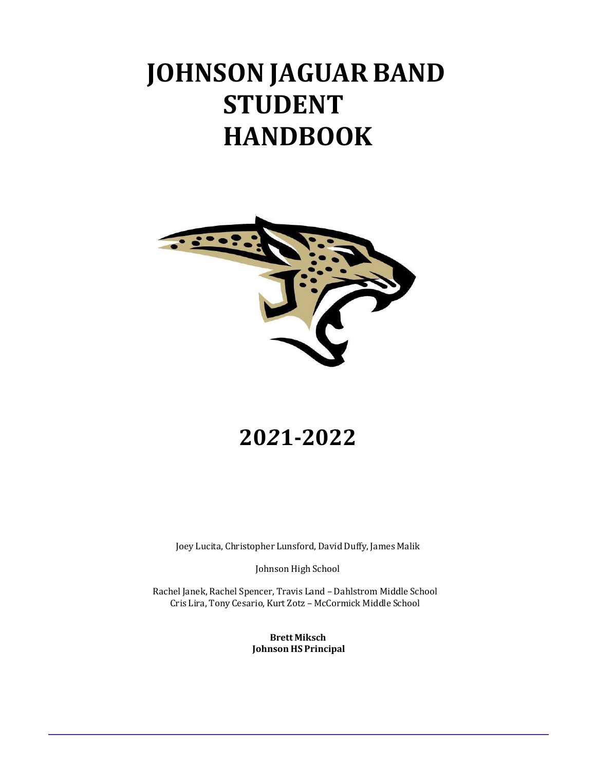# **JOHNSON JAGUAR BAND STUDENT HANDBOOK**



# **20***2***1-2022**

Joey Lucita, Christopher Lunsford, David Duffy, James Malik

Johnson High School

Rachel Janek, Rachel Spencer, Travis Land – Dahlstrom Middle School Cris Lira, Tony Cesario, Kurt Zotz – McCormick Middle School

> **Brett Miksch Johnson HS Principal**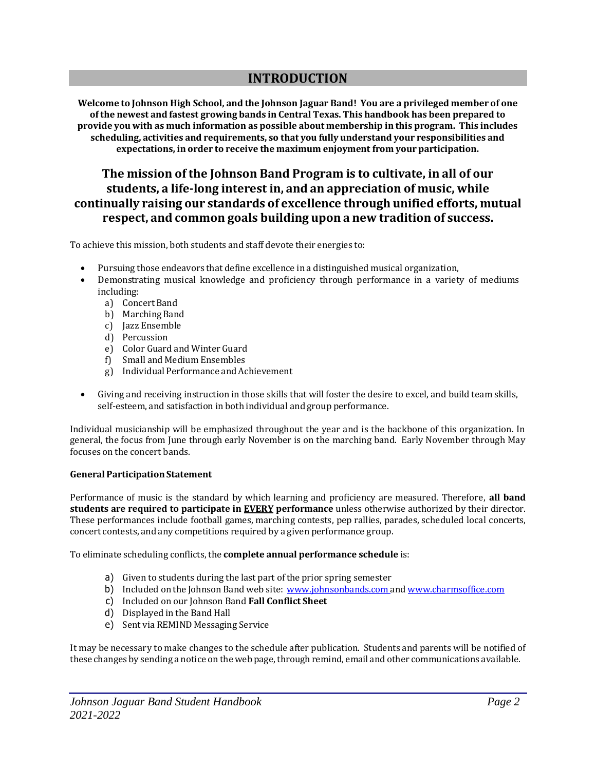# **INTRODUCTION**

**Welcome to Johnson High School, and the Johnson Jaguar Band! You are a privileged member of one ofthe newest and fastest growing bands in Central Texas. This handbook has been prepared to provide you with as much information as possible about membership in this program. This includes scheduling, activities and requirements, so that you fully understand your responsibilities and expectations, in order to receive the maximum enjoyment from your participation.**

# **The mission of the Johnson Band Program is to cultivate, in all of our students, a life-long interest in, and an appreciation of music, while continually raising our standards of excellence through unified efforts, mutual respect, and common goals building upon a new tradition of success.**

To achieve this mission, both students and staff devote their energies to:

- Pursuing those endeavors that define excellence in a distinguished musical organization,
- Demonstrating musical knowledge and proficiency through performance in a variety of mediums including:
	- a) Concert Band
	- b) Marching Band
	- c) Jazz Ensemble
	- d) Percussion
	- e) Color Guard and Winter Guard
	- f) Small and Medium Ensembles
	- g) IndividualPerformance andAchievement
- Giving and receiving instruction in those skills that will foster the desire to excel, and build team skills, self-esteem, and satisfaction in both individual and group performance.

Individual musicianship will be emphasized throughout the year and is the backbone of this organization. In general, the focus from June through early November is on the marching band. Early November through May focuses on the concert bands.

# **GeneralParticipationStatement**

Performance of music is the standard by which learning and proficiency are measured. Therefore, **all band students are required to participate in EVERY performance** unless otherwise authorized by their director. These performances include football games, marching contests, pep rallies, parades, scheduled local concerts, concert contests, and any competitions required by a given performance group.

To eliminate scheduling conflicts, the **complete annual performance schedule** is:

- a) Given to students during the last part of the prior spring semester
- b) Included on the Johnson Band web site: [www.johnsonbands.com](http://www.johnsonbands.com/) and [www.charmsoffice.com](http://www.charmsoffice.com/)
- c) Included on our Johnson Band **Fall Conflict Sheet**
- d) Displayed in the Band Hall
- e) Sent via REMIND Messaging Service

It may be necessary to make changes to the schedule after publication. Students and parents will be notified of these changes by sending a notice on the web page, through remind, email and other communications available.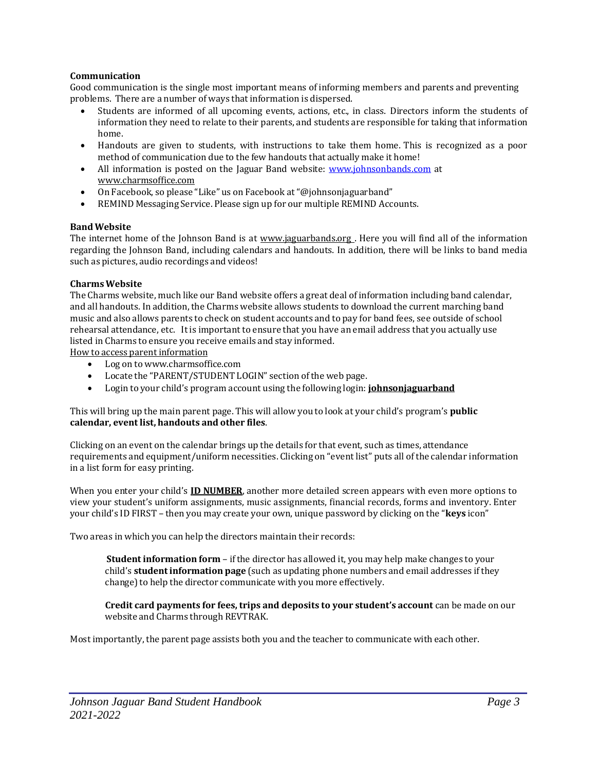## **Communication**

Good communication is the single most important means of informing members and parents and preventing problems. There are a number of ways that information is dispersed.

- Students are informed of all upcoming events, actions, etc., in class. Directors inform the students of information they need to relate to their parents, and students are responsible for taking that information home.
- Handouts are given to students, with instructions to take them home. This is recognized as a poor method of communication due to the few handouts that actually make it home!
- All information is posted on the Jaguar Band website: [www.johnsonbands.com](http://www.johnsonbands.com/) at [www.charmsoffice.com](http://www.charmsoffice.com/)
- On Facebook, soplease "Like" us on Facebook at"@johnsonjaguarband"
- REMIND Messaging Service. Please sign up for our multiple REMIND Accounts.

# **BandWebsite**

The internet home of the Johnson Band is at [www.jaguarbands.org](http://www.loboband.org/) . Here you will find all of the information regarding the Johnson Band, including calendars and handouts. In addition, there will be links to band media such as pictures, audio recordings and videos!

#### **CharmsWebsite**

The Charms website, much like our Band website offers a great deal of information including band calendar, and all handouts. In addition, the Charms website allows students to download the current marching band music and also allowsparents to check on student accounts and topay for band fees, see outside of school rehearsal attendance, etc. It is important to ensure that you have an email address that you actually use listed in Charms to ensure you receive emails and stay informed.

How to access parent information

- Log on to [www.charmsoffice.com](http://www.charmsoffice.com/)
- Locate the "PARENT/STUDENT LOGIN" section of the web page.
- Login to your child's program account using the following login: **johnsonjaguarband**

This will bring upthe main parent page. This will allow you to look at your child's program's **public calendar, event list, handouts and other files**.

Clicking on an event on the calendar brings up the details for that event, such as times, attendance requirements and equipment/uniform necessities. Clicking on "event list" puts all of the calendar information in a list form for easyprinting.

When you enter your child's **ID NUMBER**, another more detailed screen appears with even more options to view your student's uniform assignments, music assignments, financial records, forms and inventory. Enter your child's ID FIRST – then you may create your own, unique password by clicking on the "**keys** icon"

Two areas in which you can help the directors maintain their records:

**Student information form** – if the director has allowed it, you may help make changes to your child's **studentinformation page** (such as updatingphone numbers and email addresses if they change) to help the director communicate with you more effectively.

**Credit card payments for fees, trips and deposits to your student's account** can be made on our website and Charms through REVTRAK.

Most importantly, the parent page assists both you and the teacher to communicate with each other.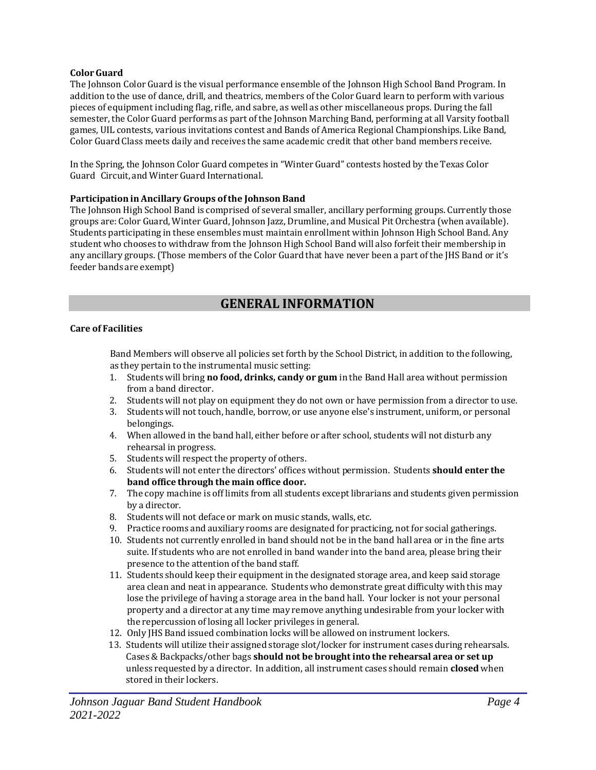# **ColorGuard**

The Johnson Color Guard is the visual performance ensemble of the Johnson High School Band Program. In addition to the use of dance, drill, and theatrics, members of the Color Guard learn to perform with various pieces of equipment including flag, rifle, and sabre, as well as other miscellaneous props. During the fall semester, the Color Guard performs as part of the Johnson Marching Band, performing at all Varsity football games, UIL contests, various invitations contest and Bands of America Regional Championships. Like Band, Color Guard Class meets daily and receives the same academic credit that other band members receive.

In the Spring, the Johnson Color Guard competes in "Winter Guard" contests hosted by the Texas Color Guard Circuit, and Winter Guard International.

# **Participation in Ancillary Groups ofthe Johnson Band**

The Johnson High School Band is comprised of several smaller, ancillary performing groups. Currently those groups are: Color Guard, Winter Guard, Johnson Jazz, Drumline, and Musical Pit Orchestra (when available). Students participating in these ensembles must maintain enrollment within Johnson High School Band. Any student who chooses to withdraw from the Johnson High School Band will also forfeit their membership in any ancillary groups. (Those members of the Color Guard that have never been a part of the JHS Band or it's feeder bands are exempt)

# **GENERAL INFORMATION**

# **Care of Facilities**

Band Members will observe all policies set forth by the School District, in addition to the following, as they pertain to the instrumental music setting:

- 1. Students will bring **no food, drinks, candy or gum** in the Band Hall area without permission from a band director.
- 2. Students will not play on equipment they do not own or have permission from a director to use.
- 3. Students will not touch, handle, borrow, or use anyone else's instrument, uniform, or personal belongings.
- 4. When allowed in the band hall, either before or after school, students will not disturb any rehearsal in progress.
- 5. Students will respect the property of others.
- 6. Students will not enter the directors' offices without permission. Students **should enter the band office through the main office door.**
- 7. The copy machine is off limits from all students except librarians and students given permission by a director.
- 8. Students will not deface or mark on music stands, walls, etc.
- 9. Practice rooms and auxiliary rooms are designated for practicing, not for social gatherings.
- 10. Students not currently enrolled in band should not be in the band hall area or in the fine arts suite. If students who are not enrolled in band wander into the band area, please bring their presence to the attention of the band staff.
- 11. Students should keeptheir equipment in the designated storage area, and keepsaid storage area clean and neat in appearance. Students who demonstrate great difficulty with this may lose the privilege of having a storage area in the band hall. Your locker is not your personal property and a director at any time may remove anything undesirable from your locker with the repercussion of losing all locker privileges in general.
- 12. Only JHS Band issued combination locks will be allowed on instrument lockers.
- 13. Students will utilize their assigned storage slot/locker for instrument cases during rehearsals. Cases & Backpacks/other bags **should not be brought into the rehearsal area or set up** unless requested by a director. In addition, allinstrument cases should remain **closed** when stored in their lockers.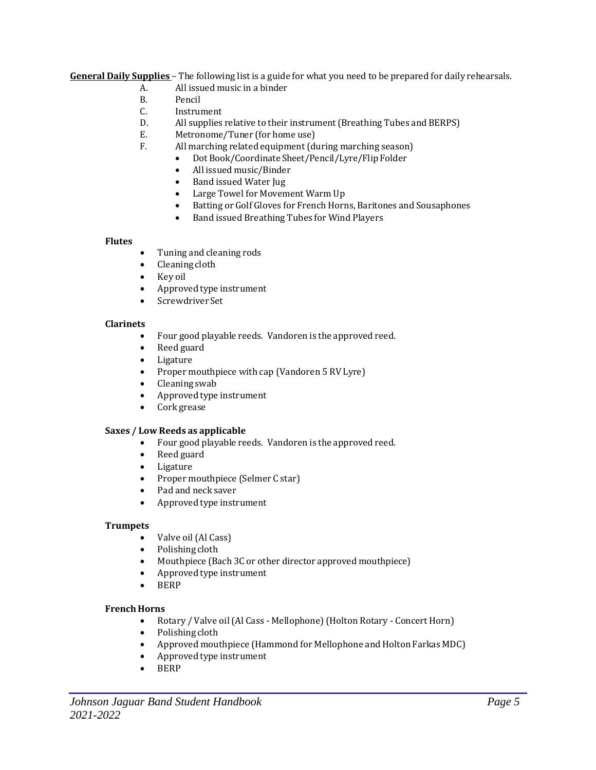**General Daily Supplies** – The following list is a guide for what you need to be prepared for daily rehearsals.

- A. Allissued music in a binder
- B. Pencil
- C. Instrument
- D. All supplies relative to their instrument (Breathing Tubes and BERPS)
- E. Metronome/Tuner (for home use)
- F. All marching related equipment (during marching season)
	- Dot Book/Coordinate Sheet/Pencil/Lyre/Flip Folder
	- Allissued music/Binder
	- Band issued Water Jug
	- Large Towel for Movement Warm Up
	- Batting or Golf Gloves for French Horns, Baritones and Sousaphones
	- Band issued Breathing Tubes for Wind Players

# **Flutes**

- Tuning and cleaning rods
- Cleaning cloth
- Key oil
- Approved type instrument
- Screwdriver Set

# **Clarinets**

- Four good playable reeds. Vandoren is the approved reed.
- Reed guard
- Ligature
- Proper mouthpiece with cap (Vandoren 5 RV Lyre)
- Cleaning swab
- Approved type instrument
- Cork grease

# **Saxes / Low Reeds as applicable**

- Four good playable reeds. Vandoren is the approved reed.
- Reed guard
- Ligature
- Proper mouthpiece (Selmer C star)
- Pad and neck saver
- Approved type instrument

# **Trumpets**

- Valve oil (Al Cass)
- Polishing cloth
- Mouthpiece (Bach 3C or other director approved mouthpiece)
- Approved type instrument
- BERP

# **French Horns**

- Rotary / Valve oil (Al Cass Mellophone) (Holton Rotary Concert Horn)
- Polishing cloth
- Approved mouthpiece (Hammond for Mellophone and Holton Farkas MDC)
- Approved type instrument
- BERP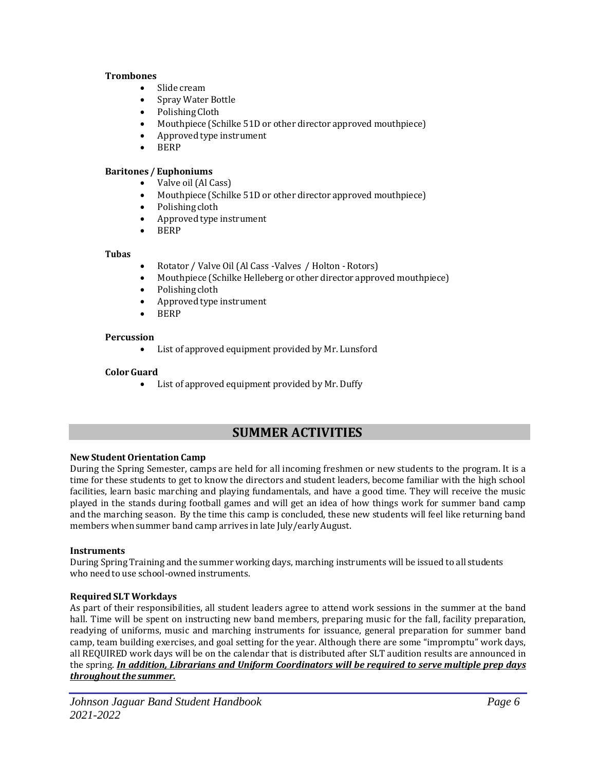## **Trombones**

- Slide cream
- Spray Water Bottle
- Polishing Cloth
- Mouthpiece (Schilke 51D or other director approved mouthpiece)
- Approved type instrument
- BERP

# **Baritones / Euphoniums**

- Valve oil (Al Cass)
- Mouthpiece (Schilke 51D or other director approved mouthpiece)
- Polishing cloth
- Approved type instrument
- BERP

#### **Tubas**

- Rotator / Valve Oil (Al Cass -Valves / Holton Rotors)
- Mouthpiece (Schilke Helleberg or other director approved mouthpiece)
- Polishing cloth
- Approved type instrument
- BERP

# **Percussion**

 $\bullet$  List of approved equipment provided by Mr. Lunsford

# **ColorGuard**

• List of approved equipment provided by Mr. Duffy

# **SUMMER ACTIVITIES**

# **New Student Orientation Camp**

During the Spring Semester, camps are held for all incoming freshmen or new students to the program. It is a time for these students to get to know the directors and student leaders, become familiar with the high school facilities, learn basic marching and playing fundamentals, and have a good time. They will receive the music played in the stands during football games and will get an idea of how things work for summer band camp and the marching season. By the time this camp is concluded, these new students will feel like returning band members when summer band camp arrives in late July/early August.

# **Instruments**

During Spring Training and the summer working days, marching instruments will be issued to all students who need to use school-owned instruments.

# **Required SLT Workdays**

As part of their responsibilities, all student leaders agree to attend work sessions in the summer at the band hall. Time will be spent on instructing new band members, preparing music for the fall, facility preparation, readying of uniforms, music and marching instruments for issuance, general preparation for summer band camp, team building exercises, and goal setting for the year. Although there are some "impromptu" work days, all REQUIRED work days will be on the calendar that is distributed after SLT audition results are announced in the spring. *In addition, Librarians and Uniform Coordinators will be required to serve multiple prep days throughout the summer.*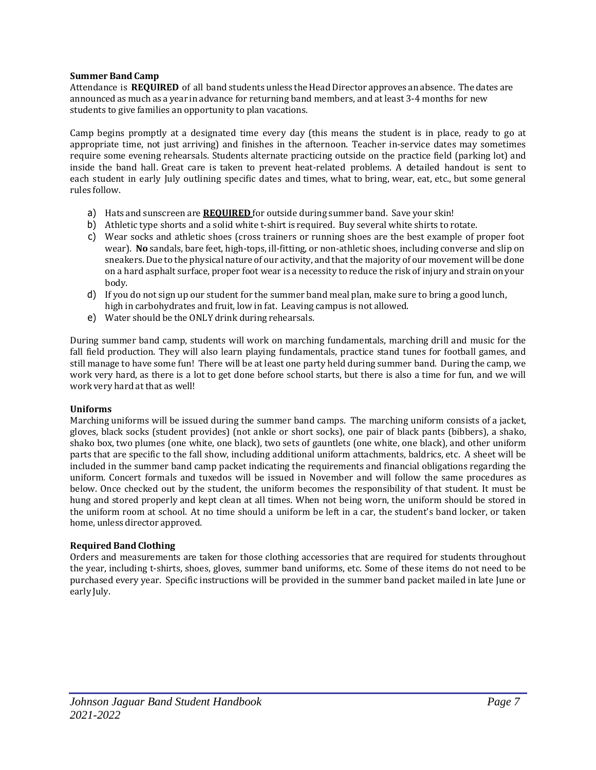#### **Summer Band Camp**

Attendance is **REQUIRED** of all band students unless the Head Director approves an absence. The dates are announced as much as a year in advance for returning band members, and at least 3-4 months for new students to give families an opportunity to plan vacations.

Camp begins promptly at a designated time every day (this means the student is in place, ready to go at appropriate time, not just arriving) and finishes in the afternoon. Teacher in-service dates may sometimes require some evening rehearsals. Students alternate practicing outside on the practice field (parking lot) and inside the band hall. Great care is taken to prevent heat-related problems. A detailed handout is sent to each student in early July outlining specific dates and times, what to bring, wear, eat, etc., but some general rules follow.

- a) Hats and sunscreen are **REQUIRED** for outside during summer band. Save your skin!
- b) Athletic type shorts and a solid white t-shirt is required. Buy several white shirts to rotate.
- c) Wear socks and athletic shoes (cross trainers or running shoes are the best example of proper foot wear). **No** sandals, bare feet, high-tops, ill-fitting, or non-athletic shoes, including converse and slip on sneakers. Due to the physical nature of our activity, and that the majority of our movement will be done on a hard asphalt surface, proper foot wear is a necessity to reduce the risk of injury and strain on your body.
- d) If you do not sign up our student for the summer band meal plan, make sure to bring a good lunch, high in carbohydrates and fruit, low in fat. Leaving campus is not allowed.
- e) Water should be the ONLY drink during rehearsals.

During summer band camp, students will work on marching fundamentals, marching drill and music for the fall field production. They will also learn playing fundamentals, practice stand tunes for football games, and still manage to have some fun! There will be at least one party held during summer band. During the camp, we work very hard, as there is a lot to get done before school starts, but there is also a time for fun, and we will work very hard at that as well!

# **Uniforms**

Marching uniforms will be issued during the summer band camps. The marching uniform consists of a jacket, gloves, black socks (student provides) (not ankle or short socks), one pair of black pants (bibbers), a shako, shako box, two plumes (one white, one black), two sets of gauntlets (one white, one black), and other uniform parts that are specific to the fall show, including additional uniform attachments, baldrics, etc. A sheet will be included in the summer band camp packet indicating the requirements and financial obligations regarding the uniform. Concert formals and tuxedos will be issued in November and will follow the same procedures as below. Once checked out by the student, the uniform becomes the responsibility of that student. It must be hung and stored properly and kept clean at all times. When not being worn, the uniform should be stored in the uniform room at school. At no time should a uniform be left in a car, the student's band locker, or taken home, unless director approved.

# **Required Band Clothing**

Orders and measurements are taken for those clothing accessories that are required for students throughout the year, including t-shirts, shoes, gloves, summer band uniforms, etc. Some of these items do not need to be purchased every year. Specific instructions will be provided in the summer band packet mailed in late June or early July.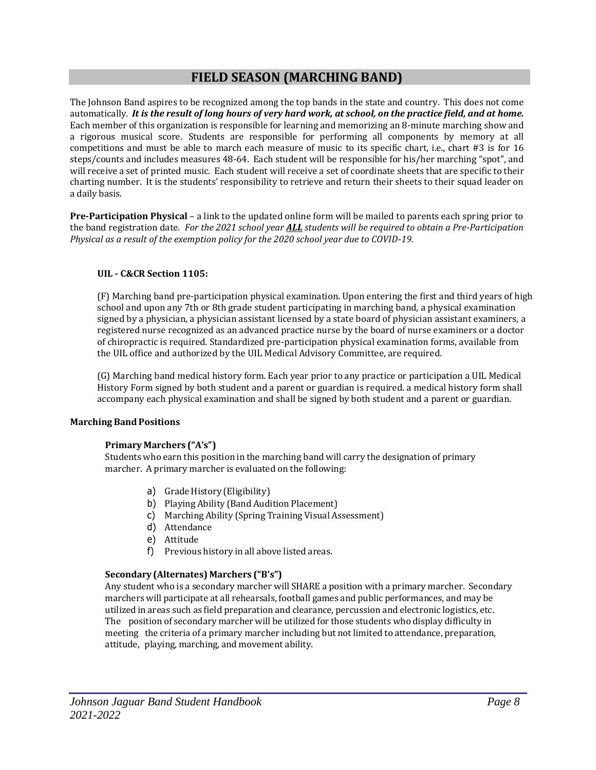# **FIELD SEASON (MARCHING BAND)**

The Johnson Band aspires to be recognized among the top bands in the state and country. This does not come automatically. It is the result of long hours of very hard work, at school, on the practice field, and at home. Each member of this organization is responsible for learning and memorizing an 8-minute marching show and a rigorous musical score. Students are responsible for performing all components by memory at all competitions and must be able to march each measure of music to its specific chart, i.e., chart #3 is for 16 steps/counts and includes measures 48-64. Each student will be responsible for his/her marching "spot", and will receive a set of printed music. Each student will receive a set of coordinate sheets that are specific to their charting number. It is the students' responsibility to retrieve and return their sheets to their squad leader on a daily basis.

**Pre-Participation Physical** – a link to the updated online form will be mailed to parents each spring prior to the band registration date. *For the 2021 school year ALL students will be required to obtain a Pre-Participation Physical as a result of the exemption policy for the 2020 school year due to COVID-19.* 

# **UIL - C&CR Section 1105:**

(F) Marching band pre-participation physical examination. Upon entering the first and third years of high school and upon any 7th or 8th grade student participating in marching band, a physical examination signed by a physician, a physician assistant licensed by a state board of physician assistant examiners, a registered nurse recognized as an advanced practice nurse by the board of nurse examiners or a doctor of chiropractic is required. Standardized pre-participation physical examination forms, available from the UIL office and authorized by the UIL Medical Advisory Committee, are required.

(G) Marching band medical history form. Each year prior to any practice or participation a UIL Medical History Form signed by both student and a parent or guardian is required. a medical history form shall accompany each physical examination and shall be signed by both student and a parent or guardian.

# **Marching BandPositions**

# **Primary Marchers ("A's")**

Students who earn this position in the marching band will carry the designation of primary marcher. A primary marcher is evaluated on the following:

- a) Grade History (Eligibility)
- b) Playing Ability (Band Audition Placement)
- c) Marching Ability (Spring Training Visual Assessment)
- d) Attendance
- e) Attitude
- f) Previous history in all above listed areas.

# **Secondary (Alternates) Marchers ("B's")**

Any student who is a secondary marcher will SHARE a position with a primary marcher. Secondary marchers will participate at all rehearsals, football games and public performances, and may be utilized in areas such as field preparation and clearance, percussion and electronic logistics, etc. The position of secondary marcher will be utilized for those students who display difficulty in meeting the criteria of a primary marcher including but not limited to attendance, preparation, attitude, playing, marching, and movement ability.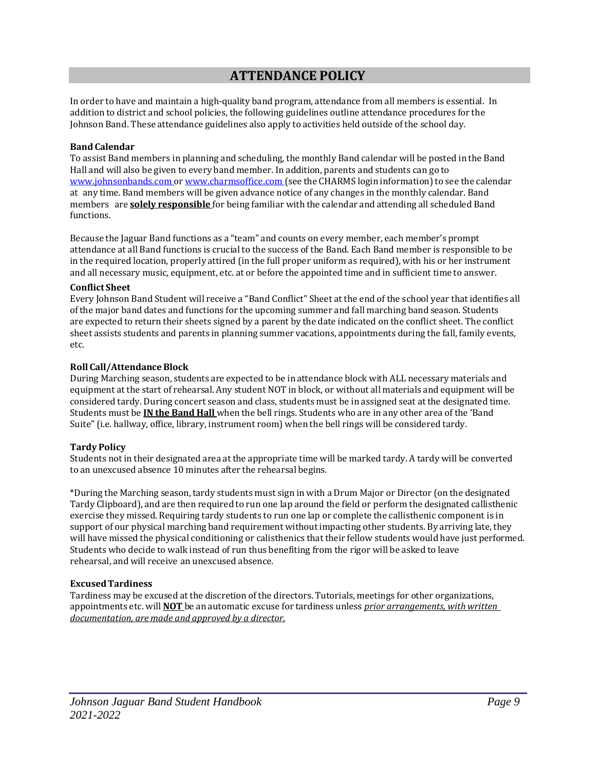# **ATTENDANCE POLICY**

In order to have and maintain a high-quality band program, attendance from all members is essential. In addition to district and school policies, the following guidelines outline attendance procedures for the Johnson Band. These attendance guidelines also apply to activities held outside of the school day.

## **Band Calendar**

To assist Band members in planning and scheduling, the monthly Band calendar will be posted in the Band Hall and will also be given to every band member. In addition, parents and students can go to [www.johnsonbands.com](http://www.johnsonbands.com/) or www.charmsoffice.com (see the CHARMS login information) to see the calendar at any time. Band members will be given advance notice of any changes in the monthly calendar. Band members are **solely responsible** for being familiar with the calendar and attending all scheduled Band functions.

Because the Jaguar Band functions as a "team" and counts on every member, each member's prompt attendance at all Band functions is crucial to the success of the Band. Each Band member is responsible to be in the required location, properly attired (in the full proper uniform as required), with his or her instrument and all necessary music, equipment, etc. at or before the appointed time and in sufficient time to answer.

#### **Conflict Sheet**

Every Johnson Band Student will receive a "Band Conflict" Sheet at the end of the school year that identifies all of the major band dates and functions for the upcoming summer and fall marching band season. Students are expected to return their sheets signed by a parent by the date indicated on the conflict sheet. The conflict sheet assists students and parents in planning summer vacations, appointments during the fall, family events, etc.

#### **Roll Call/AttendanceBlock**

During Marching season, students are expected to be in attendance block with ALL necessary materials and equipment at the start of rehearsal. Any student NOT in block, or without all materials and equipment will be considered tardy. During concert season and class, students must be in assigned seat at the designated time. Students must be **IN the Band Hall** when the bell rings. Students who are in any other area of the 'Band Suite" (i.e. hallway, office, library, instrument room) when the bell rings will be considered tardy.

# **Tardy Policy**

Students not in their designated area at the appropriate time will be marked tardy. A tardy will be converted to an unexcused absence 10 minutes after the rehearsal begins.

\*During the Marching season, tardy students must sign in with a Drum Major or Director (on the designated Tardy Clipboard), and are then required to run one laparound the field or perform the designated callisthenic exercise they missed. Requiring tardy students to run one lapor complete the callisthenic component is in support of our physical marching band requirement without impacting other students. By arriving late, they will have missed the physical conditioning or calisthenics that their fellow students would have just performed. Students who decide to walk instead of run thus benefiting from the rigor will be asked to leave rehearsal, and will receive an unexcused absence.

# **ExcusedTardiness**

Tardiness may be excused at the discretion of the directors. Tutorials, meetings for other organizations, appointments etc. will **NOT** be an automatic excuse for tardiness unless *prior arrangements, with written documentation, are made and approved by a director*.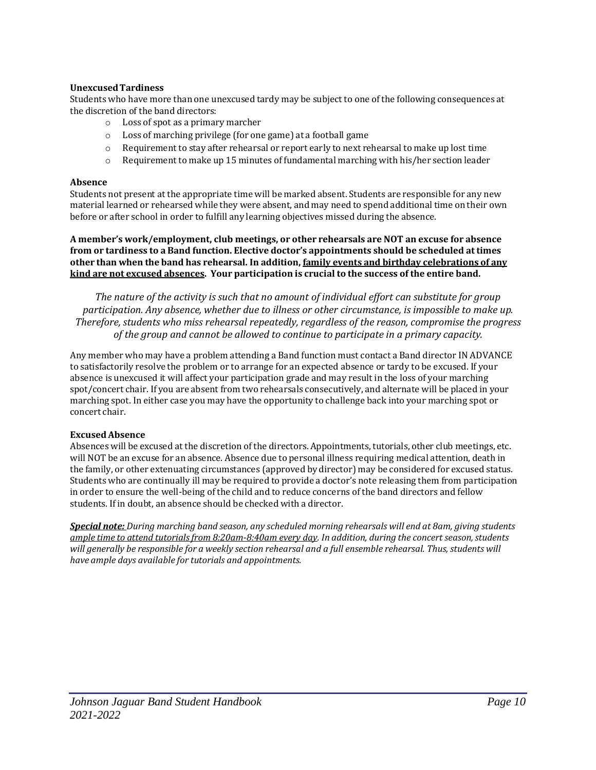# **UnexcusedTardiness**

Students who have more than one unexcused tardy may be subject to one of the following consequences at the discretion of the band directors:

- o Loss of spot as a primary marcher
- o Loss of marching privilege (for one game) at a football game
- $\circ$  Requirement to stay after rehearsal or report early to next rehearsal to make up lost time
- $\circ$  Requirement to make up 15 minutes of fundamental marching with his/her section leader

## **Absence**

Students not present at the appropriate time will be marked absent. Students are responsible for any new material learned or rehearsed while they were absent, and may need to spend additional time on their own before or after schoolin order to fulfill any learning objectives missed during the absence.

**A member's work/employment, club meetings, or other rehearsals are NOT an excuse for absence from or tardiness to a Band function. Elective doctor's appointments should be scheduled at times other than when the band has rehearsal. In addition, family events and birthday celebrations of any kind are not excused absences. Your participation is crucial to the success of the entire band.**

*The nature of the activity is such that no amount of individual effort can substitute for group participation. Any absence, whether due to illness or other circumstance, is impossible to make up. Therefore, students who miss rehearsal repeatedly, regardless of the reason, compromise the progress of the group and cannot be allowed to continue to participate in a primary capacity.*

Any member who may have a problem attending a Band function must contact a Band director INADVANCE to satisfactorily resolve the problem or to arrange for an expected absence or tardy to be excused. If your absence is unexcused it will affect your participation grade and may result in the loss of your marching spot/concert chair. If you are absent from two rehearsals consecutively, and alternate will be placed in your marching spot. In either case you may have the opportunity to challenge back into your marching spot or concert chair.

# **ExcusedAbsence**

Absences will be excused at the discretion of the directors. Appointments, tutorials, other club meetings, etc. will NOT be an excuse for an absence. Absence due to personal illness requiring medical attention, death in the family, or other extenuating circumstances (approved by director) may be considered for excused status. Students who are continually ill may be required to provide a doctor's note releasing them from participation in order to ensure the well-being of the child and to reduce concerns of the band directors and fellow students. If in doubt, an absence should be checked with a director.

*Special note: During marching band season, any scheduled morning rehearsals will end at 8am, giving students ample time to attend tutorialsfrom 8:20am-8:40am every day. In addition, during the concert season,students* will generally be responsible for a weekly section rehearsal and a full ensemble rehearsal. Thus, students will *have ample days available for tutorials and appointments.*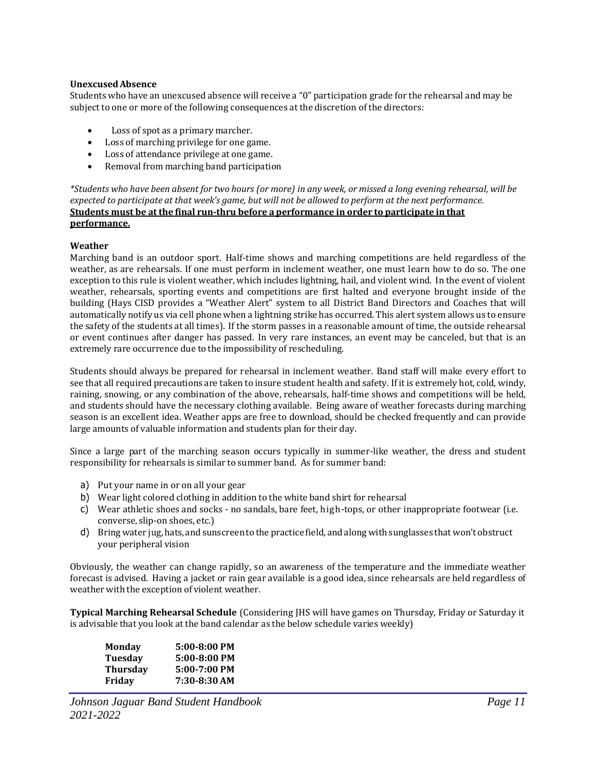#### **UnexcusedAbsence**

Students who have an unexcused absence will receive a "0" participation grade for the rehearsal and may be subject to one or more of the following consequences at the discretion of the directors:

- Loss of spot as a primary marcher.
- Loss of marching privilege for one game.
- Loss of attendance privilege at one game.
- $\bullet$  Removal from marching band participation

\*Students who have been absent for two hours (or more) in any week, or missed a long evening rehearsal, will be expected to participate at that week's game, but will not be allowed to perform at the next performance. **Students must be at the final run-thru before a performance in order to participate in that performance.**

#### **Weather**

Marching band is an outdoor sport. Half-time shows and marching competitions are held regardless of the weather, as are rehearsals. If one must perform in inclement weather, one must learn how to do so. The one exception to this rule is violent weather, which includes lightning, hail, and violent wind. In the event of violent weather, rehearsals, sporting events and competitions are first halted and everyone brought inside of the building (Hays CISD provides a "Weather Alert" system to all District Band Directors and Coaches that will automatically notify us via cell phone when a lightning strike has occurred. This alert system allows us to ensure the safety of the students at all times). If the storm passes in a reasonable amount of time, the outside rehearsal or event continues after danger has passed. In very rare instances, an event may be canceled, but that is an extremely rare occurrence due to the impossibility of rescheduling.

Students should always be prepared for rehearsal in inclement weather. Band staff will make every effort to see that all required precautions are taken to insure student health and safety. If it is extremely hot, cold, windy, raining, snowing, or any combination of the above, rehearsals, half-time shows and competitions will be held, and students should have the necessary clothing available. Being aware of weather forecasts during marching season is an excellent idea. Weather apps are free to download, should be checked frequently and can provide large amounts of valuable information and students plan for their day.

Since a large part of the marching season occurs typically in summer-like weather, the dress and student responsibility for rehearsals is similar to summer band. As for summer band:

- a) Put your name in or on all your gear
- b) Wear light colored clothing in addition to the white band shirt for rehearsal
- c) Wear athletic shoes and socks no sandals, bare feet, high-tops, or other inappropriate footwear (i.e. converse, slip-on shoes, etc.)
- d) Bring water jug, hats, and sunscreento thepractice field,andalong with sunglasses that won't obstruct your peripheral vision

Obviously, the weather can change rapidly, so an awareness of the temperature and the immediate weather forecast is advised. Having a jacket or rain gear available is a good idea, since rehearsals are held regardless of weather with the exception of violent weather.

**Typical Marching Rehearsal Schedule** (Considering JHS will have games on Thursday, Friday or Saturday it is advisable that you look at the band calendar as the below schedule varies weekly)

| <b>Monday</b>   | 5:00-8:00 PM |
|-----------------|--------------|
| <b>Tuesday</b>  | 5:00-8:00 PM |
| <b>Thursday</b> | 5:00-7:00 PM |
| Friday          | 7:30-8:30 AM |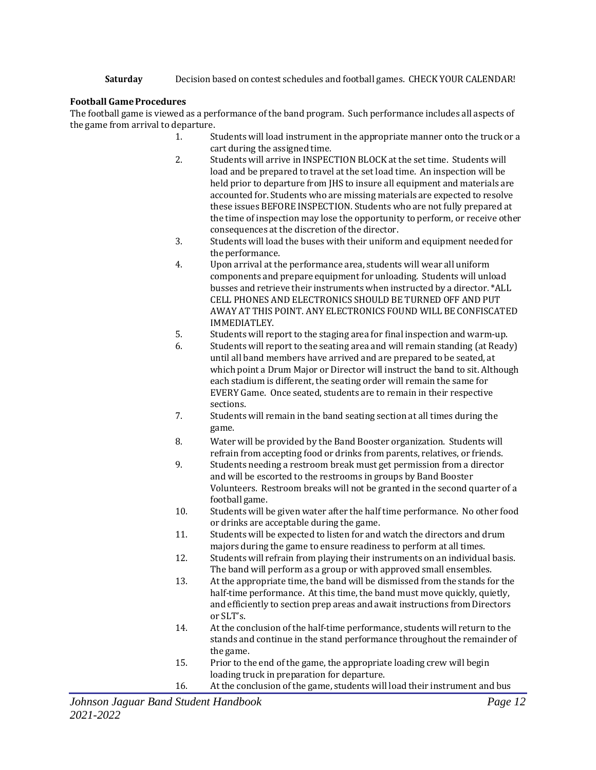**Saturday** Decision based on contest schedules and football games. CHECK YOUR CALENDAR!

# **Football GameProcedures**

The football game is viewed as a performance of the band program. Such performance includes all aspects of the game from arrival to departure.

- 1. Students will load instrument in the appropriate manner onto the truck or a cart during the assigned time.
- 2. Students will arrive in INSPECTION BLOCK at the set time. Students will load and be prepared to travel at the set load time. An inspection will be held prior to departure from JHS to insure all equipment and materials are accounted for. Students who are missing materials are expected to resolve these issues BEFORE INSPECTION. Students who are not fully prepared at the time of inspection may lose the opportunity to perform, or receive other consequences at the discretion of the director.
- 3. Students will load the buses with their uniform and equipment needed for the performance.
- 4. Upon arrival at theperformance area, students will wear all uniform components and prepare equipment for unloading. Students will unload busses and retrieve their instruments when instructed by a director. \*ALL CELL PHONES AND ELECTRONICS SHOULD BE TURNED OFF AND PUT AWAY AT THIS POINT. ANY ELECTRONICS FOUND WILL BE CONFISCATED IMMEDIATLEY.
- 5. Students will report to the staging area for finalinspection and warm-up.
- 6. Students will report to the seating area and will remain standing (at Ready) until all band members have arrived and are prepared to be seated, at which point a Drum Major or Director will instruct the band to sit. Although each stadium is different, the seating order will remain the same for EVERY Game. Once seated, students are to remain in their respective sections.
- 7. Students will remain in the band seating section at all times during the game.
- 8. Water will be provided by the Band Booster organization. Students will refrain from accepting food or drinks from parents, relatives, or friends.
- 9. Students needing a restroom break must get permission from a director and will be escorted to the restrooms in groups by Band Booster Volunteers. Restroom breaks will not be granted in the second quarter of a football game.
- 10. Students will be given water after the half time performance. No other food or drinks are acceptable during the game.
- 11. Students will be expected to listen for and watch the directors and drum majors during the game to ensure readiness to perform at all times.
- 12. Students will refrain from playing their instruments on an individual basis. The band will perform as a group or with approved small ensembles.
- 13. At the appropriate time, the band will be dismissed from the stands for the half-time performance. At this time, the band must move quickly, quietly, and efficiently to section prep areas and await instructions from Directors or SLT's.
- 14. At the conclusion of the half-time performance, students will return to the stands and continue in the stand performance throughout the remainder of the game.
- 15. Prior to the end of the game, the appropriate loading crew will begin loading truck in preparation for departure.
- 16. At the conclusion of the game, students will load their instrument and bus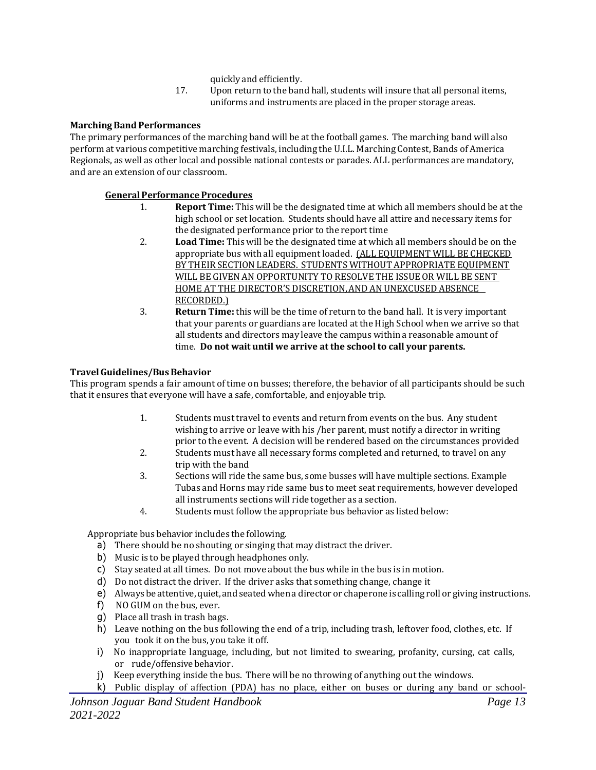- quickly and efficiently.
- 17. Upon return to the band hall, students will insure that all personal items, uniforms and instruments are placed in the proper storage areas.

# **Marching Band Performances**

The primary performances of the marching band will be at the football games. The marching band will also perform at various competitive marching festivals,including the U.I.L. Marching Contest, Bands of America Regionals, as well as other local and possible national contests or parades. ALL performances are mandatory, and are an extension of our classroom.

# **GeneralPerformanceProcedures**

- 1. **Report Time:** This will be the designated time at which all members should be at the high school or set location. Students should have all attire and necessary items for the designated performance prior to the report time
- 2. **Load Time:** This will be the designated time at which all members should be on the appropriate bus with all equipment loaded. (ALL EQUIPMENT WILL BE CHECKED BY THEIR SECTIONLEADERS. STUDENTS WITHOUT APPROPRIATE EQUIPMENT WILL BE GIVEN AN OPPORTUNITY TO RESOLVE THE ISSUE OR WILL BE SENT HOME AT THE DIRECTOR'S DISCRETION, AND ANUNEXCUSED ABSENCE RECORDED.)
- 3. **Return Time:** this will be the time of return to the band hall. It is very important that your parents or guardians are located at the High School when we arrive so that all students and directors may leave the campus within a reasonable amount of time. **Do not wait until we arrive at the schoolto call your parents.**

# **TravelGuidelines/BusBehavior**

This program spends a fair amount of time on busses; therefore, the behavior of all participants should be such that it ensures that everyone will have a safe, comfortable, and enjoyable trip.

- 1. Students must travel to events and return from events on the bus. Any student wishing to arrive or leave with his /her parent, must notify a director in writing prior to the event. A decision will be rendered based on the circumstances provided
- 2. Students must have all necessary forms completed and returned, to travel on any trip with the band
- 3. Sections will ride the same bus, some busses will have multiple sections. Example Tubas and Horns may ride same bus to meet seat requirements, however developed all instruments sections will ride together as a section.
- 4. Students must follow the appropriate bus behavior as listed below:

Appropriate bus behavior includes the following.

- a) There should be no shouting or singing that may distract the driver.
- b) Music is to be played through headphones only.
- c) Stay seated at all times. Do not move about the bus while in the bus is in motion.
- d) Do not distract the driver. If the driver asks that something change, change it
- e) Always be attentive,quiet, and seatedwhena director or chaperone is calling roll or giving instructions.
- f) NO GUM on the bus, ever.
- g) Place all trash in trash bags.
- h) Leave nothing on the bus following the end of a trip, including trash, leftover food, clothes, etc. If you took it on the bus, you take it off.
- i) No inappropriate language, including, but not limited to swearing, profanity, cursing, cat calls, or rude/offensive behavior.
- j) Keepeverything inside the bus. There will be no throwing of anything out the windows.
- k) Public display of affection (PDA) has no place, either on buses or during any band or school-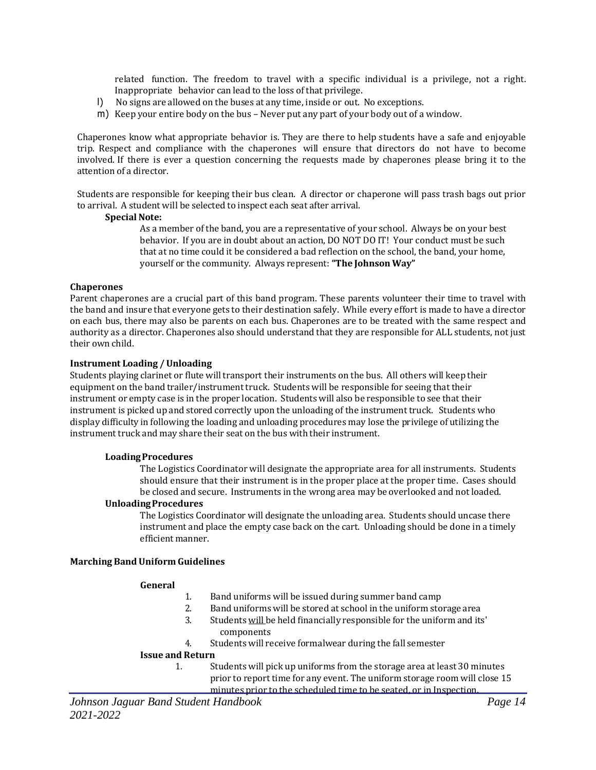related function. The freedom to travel with a specific individual is a privilege, not a right. Inappropriate behavior can lead to the loss of that privilege.

- l) No signs are allowed on the buses at any time, inside or out. No exceptions.
- m) Keepyour entire body on the bus Never put anypart of your body out of a window.

Chaperones know what appropriate behavior is. They are there to help students have a safe and enjoyable trip. Respect and compliance with the chaperones will ensure that directors do not have to become involved. If there is ever a question concerning the requests made by chaperones please bring it to the attention of a director.

Students are responsible for keeping their bus clean. A director or chaperone will pass trash bags out prior to arrival. A student will be selected to inspect each seat after arrival.

#### **Special Note:**

As a member of the band, you are a representative of your school. Always be on your best behavior. If you are in doubt about an action, DO NOT DO IT! Your conduct must be such that at no time could it be considered a bad reflection on the school, the band, your home, yourself or the community. Always represent: **"The Johnson Way"**

#### **Chaperones**

Parent chaperones are a crucial part of this band program. These parents volunteer their time to travel with the band and insure that everyone gets to their destination safely. While every effort is made to have a director on each bus, there may also be parents on each bus. Chaperones are to be treated with the same respect and authority as a director. Chaperones also should understand that they are responsible for ALL students, not just their own child.

#### **Instrument Loading / Unloading**

Students playing clarinet or flute will transport their instruments on the bus. All others will keep their equipment on the band trailer/instrument truck. Students will be responsible for seeing that their instrument or empty case is in the proper location. Students will also be responsible to see that their instrument is picked up and stored correctly upon the unloading of the instrument truck. Students who display difficulty in following the loading and unloading procedures may lose the privilege of utilizing the instrument truck and may share their seat on the bus with their instrument.

#### **LoadingProcedures**

The Logistics Coordinator will designate the appropriate area for all instruments. Students should ensure that their instrument is in the proper place at the proper time. Cases should be closed and secure. Instruments in the wrong area may be overlooked and not loaded.

#### **UnloadingProcedures**

The Logistics Coordinator will designate the unloading area. Students should uncase there instrument and place the empty case back on the cart. Unloading should be done in a timely efficient manner.

#### **Marching Band Uniform Guidelines**

#### **General**

- 1. Band uniforms will be issued during summer band camp
- 2. Band uniforms will be stored at school in the uniform storage area
- 3. Students will be held financially responsible for the uniform and its' components
- 4. Students will receive formalwear during the fall semester

#### **Issue and Return**

1. Students will pick up uniforms from the storage area at least 30 minutes prior to report time for any event. The uniform storage room will close 15 minutes prior to the scheduled time to be seated, or in Inspection.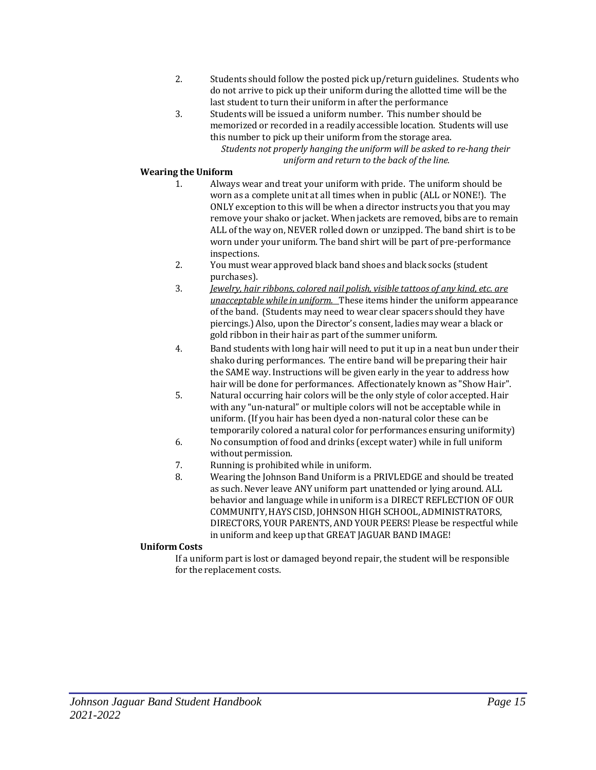- 2. Students should follow the posted pick up/return guidelines. Students who do not arrive to pick up their uniform during the allotted time will be the last student to turn their uniform in after the performance
- 3. Students will be issued a uniform number. This number should be memorized or recorded in a readily accessible location. Students will use this number to pick up their uniform from the storage area.

*Students not properly hanging the uniform will be asked to re-hang their uniform and return to the back of the line.*

# **Wearing the Uniform**

- 1. Always wear and treat your uniform with pride. The uniform should be worn as a complete unit at all times when in public (ALL or NONE!). The ONLY exception to this will be when a director instructs you that you may remove your shako or jacket. When jackets are removed, bibs are to remain ALL of the way on, NEVER rolled down or unzipped. The band shirt is to be worn under your uniform. The band shirt will be part of pre-performance inspections.
- 2. You must wear approved black band shoes and black socks (student purchases).
- 3. *Jewelry, hair ribbons, colored nail polish, visible tattoos of any kind, etc. are unacceptable while in uniform.* These items hinder the uniform appearance of the band. (Students may need to wear clear spacers should they have piercings.) Also, upon the Director's consent, ladies may wear a black or gold ribbon in their hair as part of the summer uniform.
- 4. Band students with long hair will need toput it upin a neat bun under their shako during performances. The entire band will be preparing their hair the SAME way. Instructions will be given early in the year to address how hair will be done for performances. Affectionately known as "Show Hair".
- 5. Natural occurring hair colors will be the only style of color accepted. Hair with any "un-natural" or multiple colors will not be acceptable while in uniform. (If you hair has been dyed a non-natural color these can be temporarily colored a natural color for performances ensuring uniformity)
- 6. No consumption of food and drinks (except water) while in full uniform without permission.
- 7. Running is prohibited while in uniform.
- 8. Wearing the Johnson Band Uniform is a PRIVLEDGE and should be treated as such. Never leave ANY uniform part unattended or lying around. ALL behavior and language while in uniform is a DIRECT REFLECTION OF OUR COMMUNITY,HAYS CISD, JOHNSON HIGH SCHOOL,ADMINISTRATORS, DIRECTORS, YOUR PARENTS, AND YOUR PEERS! Please be respectful while in uniform and keep up that GREAT JAGUAR BAND IMAGE!

# **Uniform Costs**

If a uniform part is lost or damaged beyond repair, the student will be responsible for the replacement costs.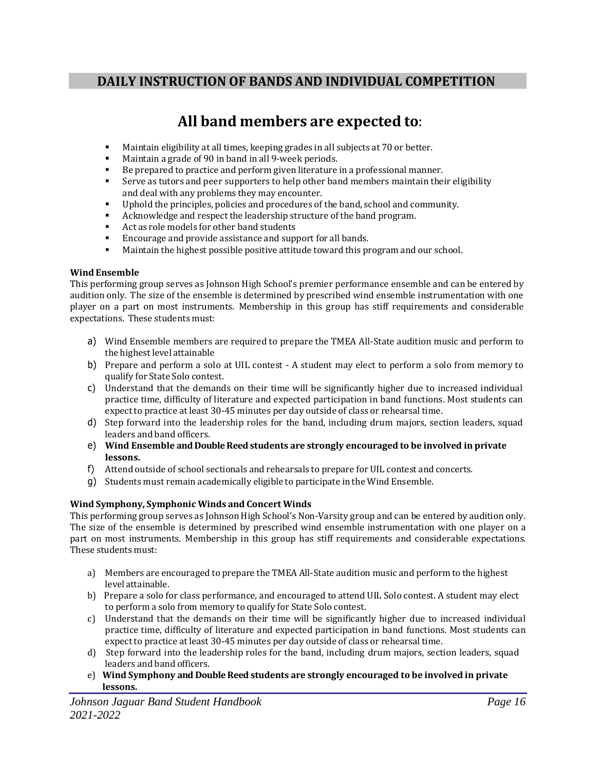# **DAILY INSTRUCTION OF BANDS AND INDIVIDUAL COMPETITION**

# **All band members are expected to**:

- Maintain eligibility at all times, keeping grades in all subjects at 70 or better.
- Maintain a grade of 90 in band in all 9-week periods.
- Be prepared to practice and perform given literature in a professional manner.
- **•** Serve as tutors and peer supporters to help other band members maintain their eligibility and deal with any problems they may encounter.
- **•** Uphold the principles, policies and procedures of the band, school and community.
- Acknowledge and respect the leadership structure of the band program.
- Act as role models for other band students
- Encourage and provide assistance and support for all bands.
- **■** Maintain the highest possible positive attitude toward this program and our school.

# **Wind Ensemble**

This performing group serves as Johnson High School's premier performance ensemble and can be entered by audition only. The size of the ensemble is determined by prescribed wind ensemble instrumentation with one player on a part on most instruments. Membership in this group has stiff requirements and considerable expectations. These students must:

- a) Wind Ensemble members are required to prepare the TMEA All-State audition music and perform to the highest level attainable
- b) Prepare and perform a solo at UIL contest A student may elect to perform a solo from memory to qualify for State Solo contest.
- c) Understand that the demands on their time will be significantly higher due to increased individual practice time, difficulty of literature and expected participation in band functions. Most students can expect to practice at least 30-45 minutes per day outside of class or rehearsal time.
- d) Step forward into the leadership roles for the band, including drum majors, section leaders, squad leaders and band officers.
- e) **Wind Ensemble and Double Reed students are strongly encouraged to be involved in private lessons.**
- f) Attend outside of school sectionals and rehearsals toprepare for UIL contest and concerts.
- g) Students must remain academically eligible toparticipate in the Wind Ensemble.

# **Wind Symphony, Symphonic Winds and Concert Winds**

This performing group serves as Johnson High School's Non-Varsity group and can be entered by audition only. The size of the ensemble is determined by prescribed wind ensemble instrumentation with one player on a part on most instruments. Membership in this group has stiff requirements and considerable expectations. These students must:

- a) Members are encouraged to prepare the TMEA All-State audition music and perform to the highest level attainable.
- b) Prepare a solo for class performance, and encouraged to attend UIL Solo contest. A student may elect to perform a solo from memory to qualify for State Solo contest.
- c) Understand that the demands on their time will be significantly higher due to increased individual practice time, difficulty of literature and expected participation in band functions. Most students can expect to practice at least 30-45 minutes per day outside of class or rehearsal time.
- d) Step forward into the leadership roles for the band, including drum majors, section leaders, squad leaders and band officers.
- e) **Wind Symphony and Double Reed students are strongly encouraged to be involved in private lessons.**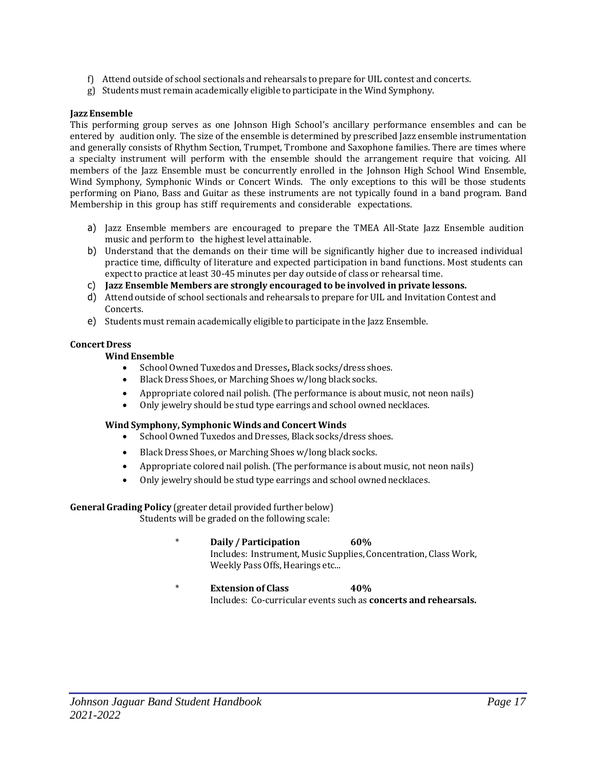- f) Attend outside of school sectionals and rehearsals toprepare for UIL contest and concerts.
- g) Students must remain academically eligible toparticipate in the Wind Symphony.

#### **Jazz Ensemble**

This performing group serves as one Johnson High School's ancillary performance ensembles and can be entered by audition only. The size of the ensemble is determined byprescribed Jazz ensemble instrumentation and generally consists of Rhythm Section, Trumpet, Trombone and Saxophone families. There are times where a specialty instrument will perform with the ensemble should the arrangement require that voicing. All members of the Jazz Ensemble must be concurrently enrolled in the Johnson High School Wind Ensemble, Wind Symphony, Symphonic Winds or Concert Winds. The only exceptions to this will be those students performing on Piano, Bass and Guitar as these instruments are not typically found in a band program. Band Membership in this group has stiff requirements and considerable expectations.

- a) Jazz Ensemble members are encouraged to prepare the TMEA All-State Jazz Ensemble audition music and perform to the highest level attainable.
- b) Understand that the demands on their time will be significantly higher due to increased individual practice time, difficulty of literature and expected participation in band functions. Most students can expect to practice at least 30-45 minutes per day outside of class or rehearsal time.
- c) **Jazz Ensemble Members are strongly encouraged to be involved in private lessons.**
- d) Attend outside of school sectionals and rehearsals toprepare for UIL and Invitation Contest and Concerts.
- e) Students must remain academically eligible toparticipate in the Jazz Ensemble.

#### **Concert Dress**

# **Wind Ensemble**

- School Owned Tuxedos and Dresses**,** Black socks/dress shoes.
- Black Dress Shoes, or Marching Shoes w/long black socks.
- Appropriate colored nail polish. (The performance is about music, not neon nails)
- Only jewelry should be stud type earrings and school owned necklaces.

# **Wind Symphony, Symphonic Winds and Concert Winds**

- School Owned Tuxedos and Dresses, Black socks/dress shoes.
- Black Dress Shoes, or Marching Shoes w/long black socks.
- Appropriate colored nail polish. (The performance is about music, not neon nails)
- Only jewelry should be stud type earrings and school owned necklaces.

**General Grading Policy** (greater detail provided further below)

Students will be graded on the following scale:

- \* **Daily / Participation 60%** Includes: Instrument, Music Supplies, Concentration, Class Work, Weekly Pass Offs, Hearings etc...
- \* **Extension of Class 40%** Includes: Co-curricular events such as **concerts and rehearsals.**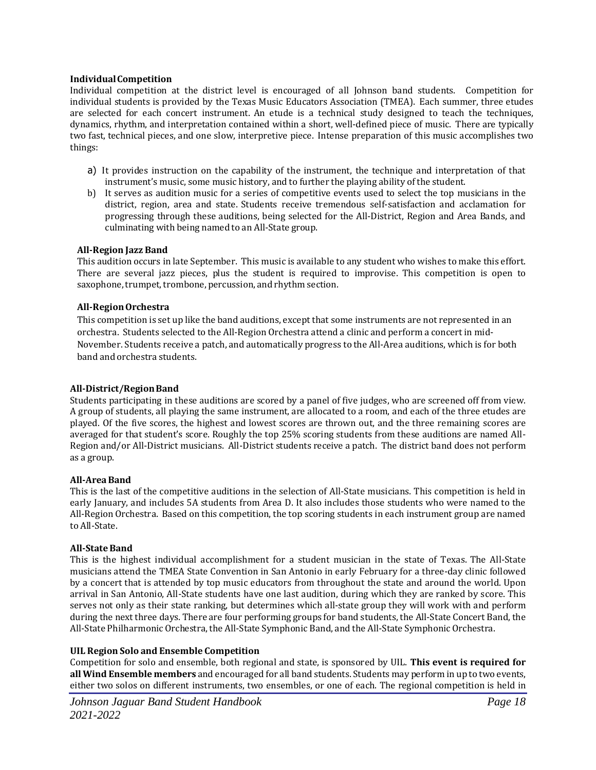#### **IndividualCompetition**

Individual competition at the district level is encouraged of all Johnson band students. Competition for individual students is provided by the Texas Music Educators Association (TMEA). Each summer, three etudes are selected for each concert instrument. An etude is a technical study designed to teach the techniques, dynamics, rhythm, and interpretation contained within a short, well-defined piece of music. There are typically two fast, technical pieces, and one slow, interpretive piece. Intense preparation of this music accomplishes two things:

- a) It provides instruction on the capability of the instrument, the technique and interpretation of that instrument's music, some music history, and to further the playing ability of the student.
- b) It serves as audition music for a series of competitive events used to select the top musicians in the district, region, area and state. Students receive tremendous self-satisfaction and acclamation for progressing through these auditions, being selected for the All-District, Region and Area Bands, and culminating with being named to an All-State group.

#### **All-Region Jazz Band**

This audition occurs in late September. This music is available to any student who wishes to make this effort. There are several jazz pieces, plus the student is required to improvise. This competition is open to saxophone, trumpet, trombone, percussion, and rhythm section.

#### **All-RegionOrchestra**

This competition is set up like the band auditions, except that some instruments are not represented in an orchestra. Students selected to the All-Region Orchestra attend a clinic and perform a concert in mid-November. Students receive a patch, and automatically progress to the All-Area auditions, which is for both band and orchestra students.

#### **All-District/RegionBand**

Students participating in these auditions are scored by a panel of five judges, who are screened off from view. A group of students, all playing the same instrument, are allocated to a room, and each of the three etudes are played. Of the five scores, the highest and lowest scores are thrown out, and the three remaining scores are averaged for that student's score. Roughly the top 25% scoring students from these auditions are named All-Region and/or All-District musicians. All-District students receive a patch. The district band does not perform as a group.

#### **All-AreaBand**

This is the last of the competitive auditions in the selection of All-State musicians. This competition is held in early January, and includes 5A students from Area D. It also includes those students who were named to the All-Region Orchestra. Based on this competition, the top scoring students in each instrument group are named to All-State.

#### **All-State Band**

This is the highest individual accomplishment for a student musician in the state of Texas. The All-State musicians attend the TMEA State Convention in San Antonio in early February for a three-day clinic followed by a concert that is attended by top music educators from throughout the state and around the world. Upon arrival in San Antonio, All-State students have one last audition, during which they are ranked by score. This serves not only as their state ranking, but determines which all-state group they will work with and perform during the next three days. There are four performing groups for band students, the All-State Concert Band, the All-State Philharmonic Orchestra, the All-State Symphonic Band, and the All-State Symphonic Orchestra.

# **UIL Region Solo and Ensemble Competition**

Competition for solo and ensemble, both regional and state, is sponsored by UIL. **This event is required for all Wind Ensemble members** and encouraged for all band students. Students mayperform in upto two events, either two solos on different instruments, two ensembles, or one of each. The regional competition is held in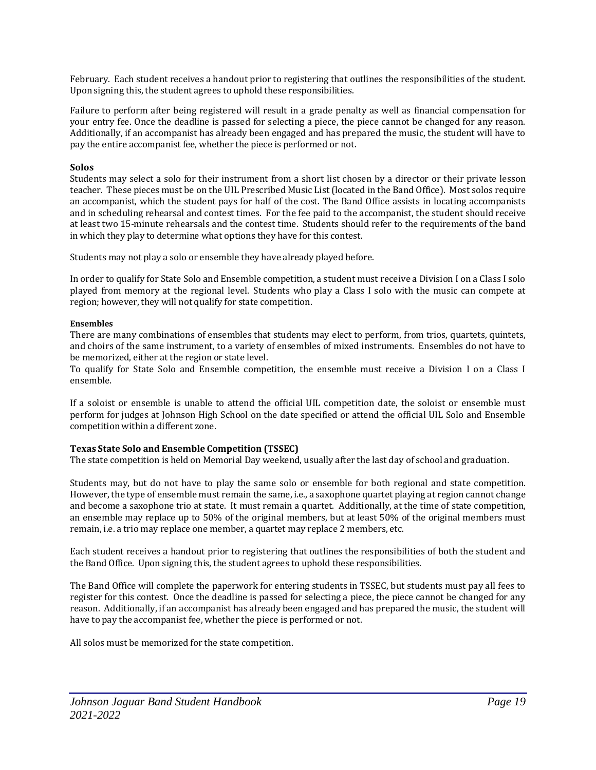February. Each student receives a handout prior to registering that outlines the responsibilities of the student. Upon signing this, the student agrees to uphold these responsibilities.

Failure to perform after being registered will result in a grade penalty as well as financial compensation for your entry fee. Once the deadline is passed for selecting a piece, the piece cannot be changed for any reason. Additionally, if an accompanist has already been engaged and has prepared the music, the student will have to pay the entire accompanist fee, whether the piece is performed or not.

#### **Solos**

Students may select a solo for their instrument from a short list chosen by a director or their private lesson teacher. These pieces must be on the UIL Prescribed Music List (located in the Band Office). Most solos require an accompanist, which the student pays for half of the cost. The Band Office assists in locating accompanists and in scheduling rehearsal and contest times. For the fee paid to the accompanist, the student should receive at least two 15-minute rehearsals and the contest time. Students should refer to the requirements of the band in which they play to determine what options they have for this contest.

Students may not play a solo or ensemble they have already played before.

In order to qualify for State Solo and Ensemble competition, a student must receive a Division I on a Class I solo played from memory at the regional level. Students who play a Class I solo with the music can compete at region; however, they will not qualify for state competition.

#### **Ensembles**

There are many combinations of ensembles that students may elect to perform, from trios, quartets, quintets, and choirs of the same instrument, to a variety of ensembles of mixed instruments. Ensembles do not have to be memorized, either at the region or state level.

To qualify for State Solo and Ensemble competition, the ensemble must receive a Division I on a Class I ensemble.

If a soloist or ensemble is unable to attend the official UIL competition date, the soloist or ensemble must perform for judges at Johnson High School on the date specified or attend the official UIL Solo and Ensemble competition within a different zone.

#### **Texas State Solo and Ensemble Competition (TSSEC)**

The state competition is held on Memorial Day weekend, usually after the last day of school and graduation.

Students may, but do not have to play the same solo or ensemble for both regional and state competition. However, the type of ensemble must remain the same, i.e., a saxophone quartet playing at region cannot change and become a saxophone trio at state. It must remain a quartet. Additionally, at the time of state competition, an ensemble may replace up to 50% of the original members, but at least 50% of the original members must remain, i.e. a trio may replace one member, a quartet may replace 2 members, etc.

Each student receives a handout prior to registering that outlines the responsibilities of both the student and the Band Office. Upon signing this, the student agrees to uphold these responsibilities.

The Band Office will complete the paperwork for entering students in TSSEC, but students must pay all fees to register for this contest. Once the deadline is passed for selecting a piece, the piece cannot be changed for any reason. Additionally,if an accompanist has already been engaged and has prepared the music, the student will have to pay the accompanist fee, whether the piece is performed or not.

All solos must be memorized for the state competition.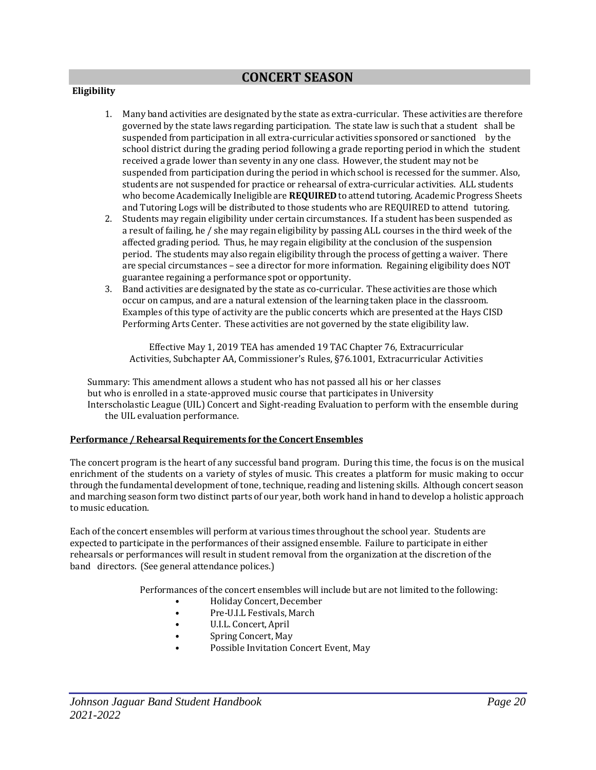# **CONCERT SEASON**

# **Eligibility**

- 1. Many band activities are designated by the state as extra-curricular. These activities are therefore governed by the state laws regarding participation. The state law is such that a student shall be suspended from participation in all extra-curricular activities sponsored or sanctioned by the school district during the grading period following a grade reporting period in which the student received a grade lower than seventy in any one class. However, the student may not be suspended from participation during the period in which school is recessed for the summer. Also, students are not suspended for practice or rehearsal of extra-curricular activities. ALL students who become Academically Ineligible are **REQUIRED** to attend tutoring. Academic Progress Sheets and Tutoring Logs will be distributed to those students who are REQUIRED to attend tutoring.
- 2. Students may regain eligibility under certain circumstances. If a student has been suspended as a result of failing, he / she may regain eligibility by passing ALL courses in the third week of the affected grading period. Thus, he may regain eligibility at the conclusion of the suspension period. The students may also regain eligibility through the process of getting a waiver. There are special circumstances – see a director for more information. Regaining eligibility does NOT guarantee regaining a performance spot or opportunity.
- 3. Band activities are designated by the state as co-curricular. These activities are those which occur on campus, and are a natural extension of the learning taken place in the classroom. Examples of this type of activity are the public concerts which are presented at the Hays CISD Performing Arts Center. These activities are not governed by the state eligibility law.

Effective May 1, 2019 TEA has amended 19 TAC Chapter 76, Extracurricular Activities, Subchapter AA, Commissioner's Rules, §76.1001, Extracurricular Activities

Summary: This amendment allows a student who has not passed all his or her classes but who is enrolled in a state-approved music course that participates in University Interscholastic League (UIL) Concert and Sight-reading Evaluation to perform with the ensemble during the UIL evaluation performance.

#### **Performance / Rehearsal Requirements for the Concert Ensembles**

The concert program is the heart of any successful band program. During this time, the focus is on the musical enrichment of the students on a variety of styles of music. This creates a platform for music making to occur through the fundamental development of tone, technique, reading and listening skills. Although concert season and marching season form two distinct parts of our year, both work hand in hand to develop a holistic approach to music education.

Each of the concert ensembles will perform at various times throughout the school year. Students are expected toparticipate in the performances of their assigned ensemble. Failure toparticipate in either rehearsals or performances will result in student removal from the organization at the discretion of the band directors. (See general attendance polices.)

Performances of the concert ensembles willinclude but are not limited to the following:

- Holiday Concert,December
- Pre-U.I.L Festivals, March
- U.I.L. Concert, April
- Spring Concert, May
- Possible Invitation Concert Event, May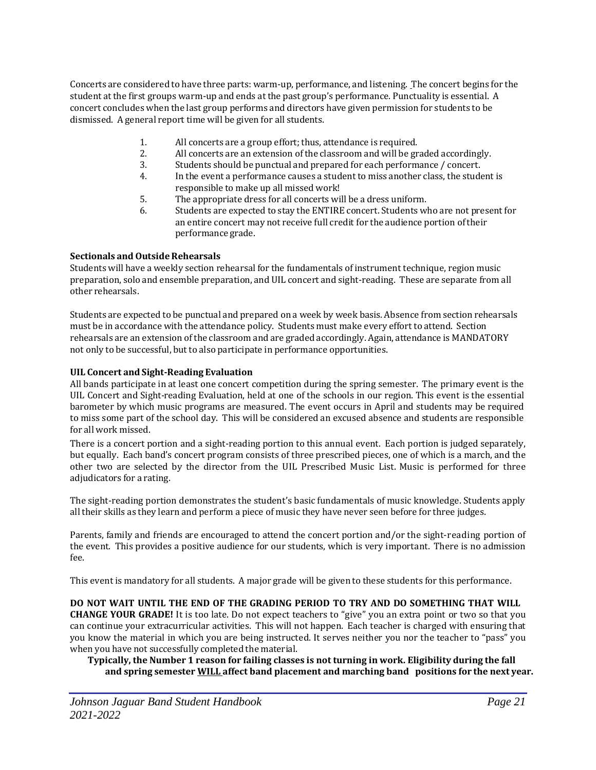Concerts are considered to have three parts: warm-up, performance, and listening. The concert begins for the student at the first groups warm-up and ends at the past group's performance. Punctuality is essential. A concert concludes when the last group performs and directors have given permission for students to be dismissed. A general report time will be given for all students.

- 1. All concerts are a groupeffort; thus, attendance is required.
- 2. All concerts are an extension of the classroom and will be graded accordingly.
- 3. Students should be punctual and prepared for each performance / concert.
- 4. In the event a performance causes a student to miss another class, the student is responsible to make up all missed work!
- 5. The appropriate dress for all concerts will be a dress uniform.
- 6. Students are expected to stay the ENTIRE concert. Students who are not present for an entire concert may not receive full credit for the audience portion of their performance grade.

# **Sectionals and OutsideRehearsals**

Students will have a weekly section rehearsal for the fundamentals of instrument technique, region music preparation, solo and ensemble preparation, and UIL concert and sight-reading. These are separate from all other rehearsals.

Students are expected to be punctual and prepared on a week by week basis. Absence from section rehearsals must be in accordance with the attendance policy. Students must make every effort to attend. Section rehearsals are an extension of the classroom and are graded accordingly. Again, attendance is MANDATORY not only to be successful, but to also participate in performance opportunities.

# **UIL Concert and Sight-Reading Evaluation**

All bands participate in at least one concert competition during the spring semester. The primary event is the UIL Concert and Sight-reading Evaluation, held at one of the schools in our region. This event is the essential barometer by which music programs are measured. The event occurs in April and students may be required to miss some part of the school day. This will be considered an excused absence and students are responsible for all work missed.

There is a concert portion and a sight-reading portion to this annual event. Each portion is judged separately, but equally. Each band's concert program consists of three prescribed pieces, one of which is a march, and the other two are selected by the director from the UIL Prescribed Music List. Music is performed for three adjudicators for a rating.

The sight-reading portion demonstrates the student's basic fundamentals of music knowledge. Students apply all their skills as they learn and perform a piece of music they have never seen before for three judges.

Parents, family and friends are encouraged to attend the concert portion and/or the sight-reading portion of the event. This provides a positive audience for our students, which is very important. There is no admission fee.

This event is mandatory for all students. A major grade will be given to these students for this performance.

# **DO NOT WAIT UNTIL THE END OF THE GRADING PERIOD TO TRY AND DO SOMETHING THAT WILL**

**CHANGE YOUR GRADE!** It is too late. Do not expect teachers to "give" you an extra point or two so that you can continue your extracurricular activities. This will not happen. Each teacher is charged with ensuring that you know the material in which you are being instructed. It serves neither you nor the teacher to "pass" you when you have not successfully completed the material.

**Typically, the Number 1 reason for failing classes is not turning in work. Eligibility during the fall and spring semester WILL affect band placement and marching band positions for the next year.**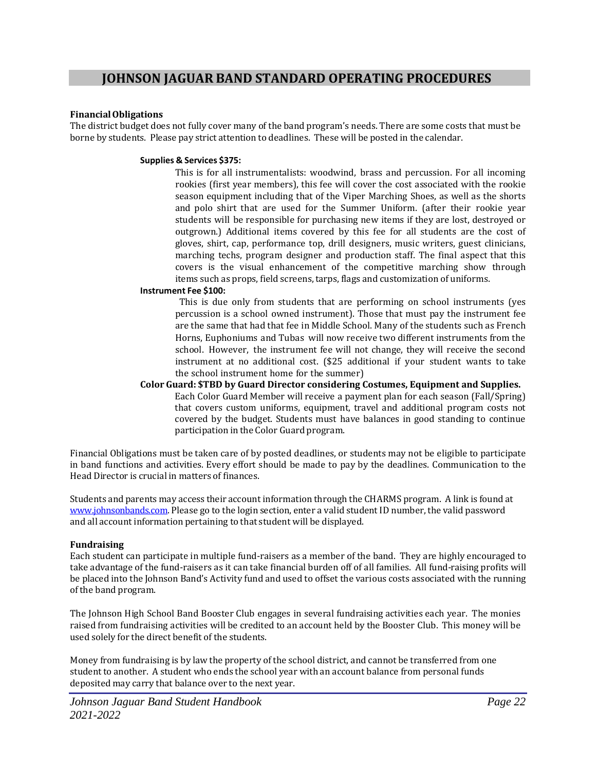# **FinancialObligations**

The district budget does not fully cover many of the band program's needs. There are some costs that must be borne by students. Please pay strict attention to deadlines. These will be posted in the calendar.

# **Supplies & Services \$375:**

This is for all instrumentalists: woodwind, brass and percussion. For all incoming rookies (first year members), this fee will cover the cost associated with the rookie season equipment including that of the Viper Marching Shoes, as well as the shorts and polo shirt that are used for the Summer Uniform. (after their rookie year students will be responsible for purchasing new items if they are lost, destroyed or outgrown.) Additional items covered by this fee for all students are the cost of gloves, shirt, cap, performance top, drill designers, music writers, guest clinicians, marching techs, program designer and production staff. The final aspect that this covers is the visual enhancement of the competitive marching show through items such as props, field screens, tarps, flags and customization of uniforms.

# **Instrument Fee \$100:**

This is due only from students that are performing on school instruments (yes percussion is a school owned instrument). Those that must pay the instrument fee are the same that had that fee in Middle School. Many of the students such as French Horns, Euphoniums and Tubas will now receive two different instruments from the school. However, the instrument fee will not change, they will receive the second instrument at no additional cost. (\$25 additional if your student wants to take the school instrument home for the summer)

**Color Guard: \$TBD by Guard Director considering Costumes, Equipment and Supplies.** Each Color Guard Member will receive a payment plan for each season (Fall/Spring) that covers custom uniforms, equipment, travel and additional program costs not covered by the budget. Students must have balances in good standing to continue participation in the Color Guard program.

Financial Obligations must be taken care of by posted deadlines, or students may not be eligible to participate in band functions and activities. Every effort should be made to pay by the deadlines. Communication to the Head Director is crucial in matters of finances.

Students and parents may access their account information through the CHARMS program. A link is found at [www.johnsonbands.com.](http://www.johnsonbands.com/) Please go to the login section, enter a valid student ID number, the validpassword and all account information pertaining to that student will be displayed.

# **Fundraising**

Each student can participate in multiple fund-raisers as a member of the band. They are highly encouraged to take advantage of the fund-raisers as it can take financial burden off of all families. All fund-raising profits will be placed into the Johnson Band's Activity fund and used to offset the various costs associated with the running of the band program.

The Johnson High School Band Booster Club engages in several fundraising activities each year. The monies raised from fundraising activities will be credited to an account held by the Booster Club. This money will be used solely for the direct benefit of the students.

Money from fundraising is by law the property of the school district, and cannot be transferred from one student to another. A student who ends the school year with an account balance from personal funds deposited may carry that balance over to the next year.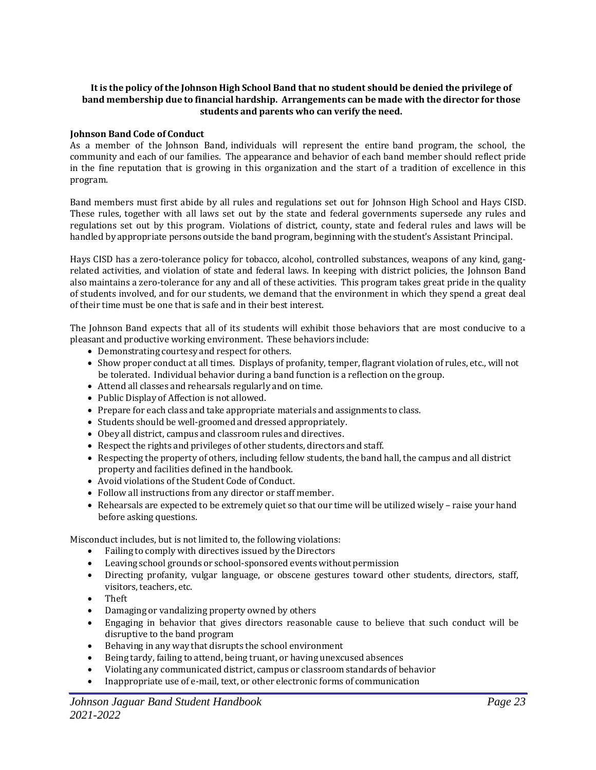## **It is the policy ofthe Johnson High School Band that no student should be denied the privilege of band membership due to financial hardship. Arrangements can be made with the director for those students and parents who can verify the need.**

#### **Johnson Band Code of Conduct**

As a member of the Johnson Band, individuals will represent the entire band program, the school, the community and each of our families. The appearance and behavior of each band member should reflect pride in the fine reputation that is growing in this organization and the start of a tradition of excellence in this program.

Band members must first abide by all rules and regulations set out for Johnson High School and Hays CISD. These rules, together with all laws set out by the state and federal governments supersede any rules and regulations set out by this program. Violations of district, county, state and federal rules and laws will be handled by appropriate persons outside the band program, beginning with the student's Assistant Principal.

Hays CISD has a zero-tolerance policy for tobacco, alcohol, controlled substances, weapons of any kind, gangrelated activities, and violation of state and federal laws. In keeping with district policies, the Johnson Band also maintains a zero-tolerance for any and all of these activities. This program takes great pride in the quality of students involved, and for our students, we demand that the environment in which they spend a great deal of their time must be one that is safe and in their best interest.

The Johnson Band expects that all of its students will exhibit those behaviors that are most conducive to a pleasant and productive working environment. These behaviors include:

- Demonstrating courtesy and respect for others.
- Show proper conduct at all times. Displays of profanity, temper, flagrant violation of rules, etc., will not be tolerated. Individual behavior during a band function is a reflection on the group.
- Attend all classes and rehearsals regularly and on time.
- Public Display of Affection is not allowed.
- Prepare for each class and take appropriate materials and assignments to class.
- Students should be well-groomed and dressed appropriately.
- Obey all district, campus and classroom rules and directives.
- Respect the rights and privileges of other students, directors and staff.
- Respecting the property of others, including fellow students, the band hall, the campus and all district property and facilities defined in the handbook.
- Avoid violations of the Student Code of Conduct.
- Follow all instructions from any director or staff member.
- Rehearsals are expected to be extremely quiet so that our time will be utilized wisely raise your hand before asking questions.

Misconduct includes, but is not limited to, the following violations:

- Failing to comply with directives issued by the Directors
- Leaving school grounds or school-sponsored events without permission
- Directing profanity, vulgar language, or obscene gestures toward other students, directors, staff, visitors, teachers, etc.
- Theft
- Damaging or vandalizing property owned by others
- Engaging in behavior that gives directors reasonable cause to believe that such conduct will be disruptive to the band program
- Behaving in any way that disrupts the school environment
- Being tardy, failing to attend, being truant, or having unexcused absences
- Violating any communicated district, campus or classroom standards of behavior
- Inappropriate use of e-mail, text, or other electronic forms of communication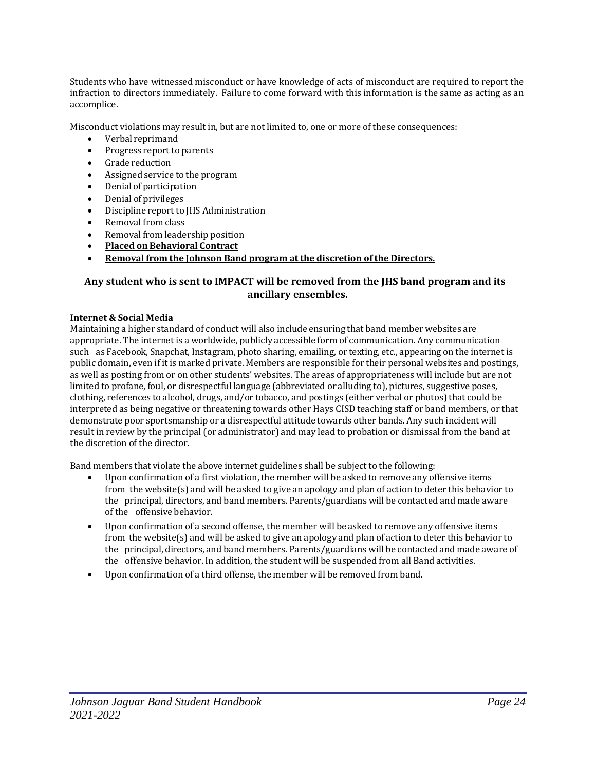Students who have witnessed misconduct or have knowledge of acts of misconduct are required to report the infraction to directors immediately. Failure to come forward with this information is the same as acting as an accomplice.

Misconduct violations may result in, but are not limited to, one or more of these consequences:

- Verbal reprimand
- Progress report to parents
- Grade reduction
- Assigned service to the program
- Denial of participation
- Denial of privileges
- Discipline report to JHS Administration
- Removal from class
- Removal from leadership position
- **Placed onBehavioral Contract**
- **Removal from the Johnson Band program at the discretion ofthe Directors.**

# **Any student who is sent to IMPACT will be removed from the JHS band program and its ancillary ensembles.**

# **Internet & Social Media**

Maintaining a higher standard of conduct will also include ensuring that band member websites are appropriate. The internet is a worldwide, publicly accessible form of communication. Any communication such as Facebook, Snapchat, Instagram, photo sharing, emailing, or texting, etc., appearing on the internet is public domain, even if it is marked private. Members are responsible for their personal websites and postings, as well as posting from or on other students' websites. The areas of appropriateness will include but are not limited to profane, foul, or disrespectful language (abbreviated or alluding to), pictures, suggestive poses, clothing, references to alcohol, drugs, and/or tobacco, and postings (either verbal or photos) that could be interpreted as being negative or threatening towards other Hays CISD teaching staff or band members, or that demonstrate poor sportsmanshipor a disrespectful attitude towards other bands. Any such incident will result in review by the principal (or administrator) and may lead to probation or dismissal from the band at the discretion of the director.

Band members that violate the above internet guidelines shall be subject to the following:

- Upon confirmation of a first violation, the member will be asked to remove any offensive items from the website(s) and will be asked to give an apology and plan of action to deter this behavior to the principal, directors, and band members. Parents/guardians will be contacted and made aware of the offensive behavior.
- Upon confirmation of a second offense, the member will be asked to remove any offensive items from the website(s) and will be asked to give an apology and plan of action to deter this behavior to the principal, directors, and band members. Parents/guardians will be contacted and made aware of the offensive behavior. In addition, the student will be suspended from all Band activities.
- Upon confirmation of a third offense, the member will be removed from band.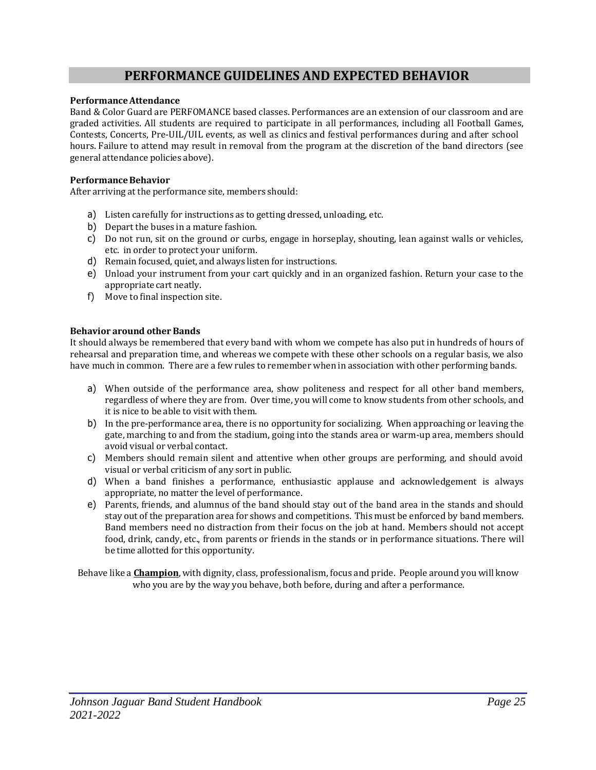# **PERFORMANCE GUIDELINES AND EXPECTED BEHAVIOR**

#### **PerformanceAttendance**

Band & Color Guard are PERFOMANCE based classes. Performances are an extension of our classroom and are graded activities. All students are required to participate in all performances, including all Football Games, Contests, Concerts, Pre-UIL/UIL events, as well as clinics and festival performances during and after school hours. Failure to attend may result in removal from the program at the discretion of the band directors (see general attendance policies above).

#### **PerformanceBehavior**

After arriving at the performance site, members should:

- a) Listen carefully for instructions as to getting dressed, unloading, etc.
- b) Depart the buses in a mature fashion.
- c) Do not run, sit on the ground or curbs, engage in horseplay, shouting, lean against walls or vehicles, etc. in order to protect your uniform.
- d) Remain focused, quiet, and always listen for instructions.
- e) Unload your instrument from your cart quickly and in an organized fashion. Return your case to the appropriate cart neatly.
- f) Move to finalinspection site.

#### **Behavior around other Bands**

It should always be remembered that every band with whom we compete has also put in hundreds of hours of rehearsal and preparation time, and whereas we compete with these other schools on a regular basis, we also have much in common. There are a few rules to remember when in association with other performing bands.

- a) When outside of the performance area, show politeness and respect for all other band members, regardless of where they are from. Over time, you will come to know students from other schools, and it is nice to be able to visit with them.
- b) In the pre-performance area, there is no opportunity for socializing. When approaching or leaving the gate, marching to and from the stadium, going into the stands area or warm-up area, members should avoid visual or verbal contact.
- c) Members should remain silent and attentive when other groups are performing, and should avoid visual or verbal criticism of any sort in public.
- d) When a band finishes a performance, enthusiastic applause and acknowledgement is always appropriate, no matter the level of performance.
- e) Parents, friends, and alumnus of the band should stay out of the band area in the stands and should stay out of the preparation area for shows and competitions. This must be enforced by band members. Band members need no distraction from their focus on the job at hand. Members should not accept food, drink, candy, etc., from parents or friends in the stands or in performance situations. There will be time allotted for this opportunity.

Behave like a **Champion**, with dignity, class, professionalism, focus and pride. People around you will know who you are by the way you behave, both before, during and after a performance.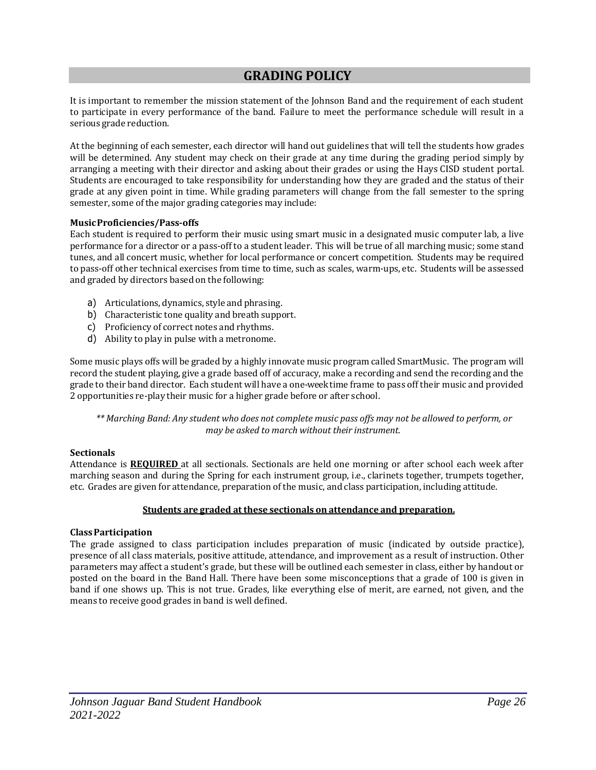# **GRADING POLICY**

It is important to remember the mission statement of the Johnson Band and the requirement of each student to participate in every performance of the band. Failure to meet the performance schedule will result in a serious grade reduction.

At the beginning of each semester, each director will hand out guidelines that will tell the students how grades will be determined. Any student may check on their grade at any time during the grading period simply by arranging a meeting with their director and asking about their grades or using the Hays CISD student portal. Students are encouraged to take responsibility for understanding how they are graded and the status of their grade at any given point in time. While grading parameters will change from the fall semester to the spring semester, some of the major grading categories may include:

# **MusicProficiencies/Pass-offs**

Each student is required to perform their music using smart music in a designated music computer lab, a live performance for a director or a pass-off to a student leader. This will be true of all marching music; some stand tunes, and all concert music, whether for local performance or concert competition. Students may be required topass-off other technical exercises from time to time, such as scales, warm-ups, etc. Students will be assessed and graded by directors based on the following:

- a) Articulations, dynamics, style and phrasing.
- b) Characteristic tone quality and breath support.
- c) Proficiency of correct notes and rhythms.
- d) Ability to play in pulse with a metronome.

Some music plays offs will be graded by a highly innovate music program called SmartMusic. The program will record the student playing, give a grade based off of accuracy, make a recording and send the recording and the grade to their band director. Each student will have a one-week time frame topass off their music andprovided 2 opportunities re-play their music for a higher grade before or after school.

\*\* Marching Band: Any student who does not complete music pass offs may not be allowed to perform, or *may be asked to march without their instrument.*

#### **Sectionals**

Attendance is **REQUIRED** at all sectionals. Sectionals are held one morning or after school each week after marching season and during the Spring for each instrument group, i.e., clarinets together, trumpets together, etc. Grades are given for attendance, preparation of the music, and class participation, including attitude.

#### **Students are graded at these sectionals on attendance and preparation.**

#### **ClassParticipation**

The grade assigned to class participation includes preparation of music (indicated by outside practice), presence of all class materials, positive attitude, attendance, and improvement as a result of instruction. Other parameters may affect a student's grade, but these will be outlined each semester in class, either by handout or posted on the board in the Band Hall. There have been some misconceptions that a grade of 100 is given in band if one shows up. This is not true. Grades, like everything else of merit, are earned, not given, and the means to receive good grades in band is well defined.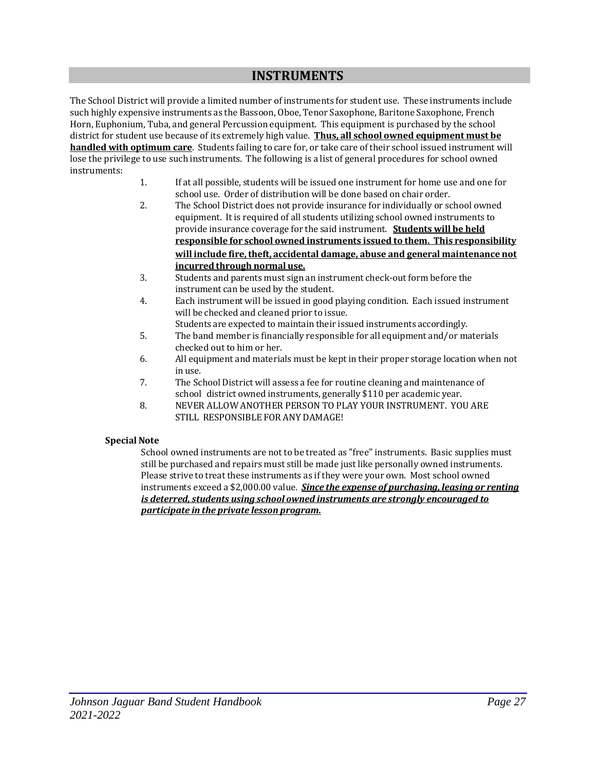# **INSTRUMENTS**

The School District will provide a limited number of instruments for student use. These instruments include such highly expensive instruments as the Bassoon, Oboe, Tenor Saxophone, Baritone Saxophone, French Horn, Euphonium, Tuba, and general Percussion equipment. This equipment is purchased by the school district for student use because of its extremely high value. **Thus, all school owned equipment must be handled with optimum care**. Students failing to care for, or take care of their schoolissued instrument will lose the privilege to use such instruments. The following is a list of general procedures for school owned instruments:

- 1. If at allpossible, students will be issued one instrument for home use and one for school use. Order of distribution will be done based on chair order.
- 2. The School District does not provide insurance for individually or school owned equipment. It is required of all students utilizing school owned instruments to provide insurance coverage for the said instrument. **Students will be held responsible for school owned instruments issued to them. This responsibility will include fire,theft, accidental damage, abuse and general maintenance not incurred through normal use.**
- 3. Students andparents must sign an instrument check-out form before the instrument can be used by the student.
- 4. Each instrument will be issued in goodplaying condition. Each issued instrument will be checked and cleaned prior to issue.
- Students are expected to maintain their issued instruments accordingly. 5. The band member is financially responsible for all equipment and/or materials checked out to him or her.
- 6. All equipment and materials must be kept in their proper storage location when not in use.
- 7. The School District will assess a fee for routine cleaning and maintenance of school district owned instruments, generally \$110 per academic year.
- 8. NEVER ALLOW ANOTHER PERSON TO PLAY YOUR INSTRUMENT. YOU ARE STILL RESPONSIBLE FOR ANYDAMAGE!

# **Special Note**

School owned instruments are not to be treated as "free" instruments. Basic supplies must still be purchased and repairs must still be made just like personally owned instruments. Please strive to treat these instruments as if they were your own. Most school owned instruments exceed a \$2,000.00 value. *Since the expense of purchasing, leasing or renting is deterred, students using school owned instruments are strongly encouraged to participate in the private lesson program.*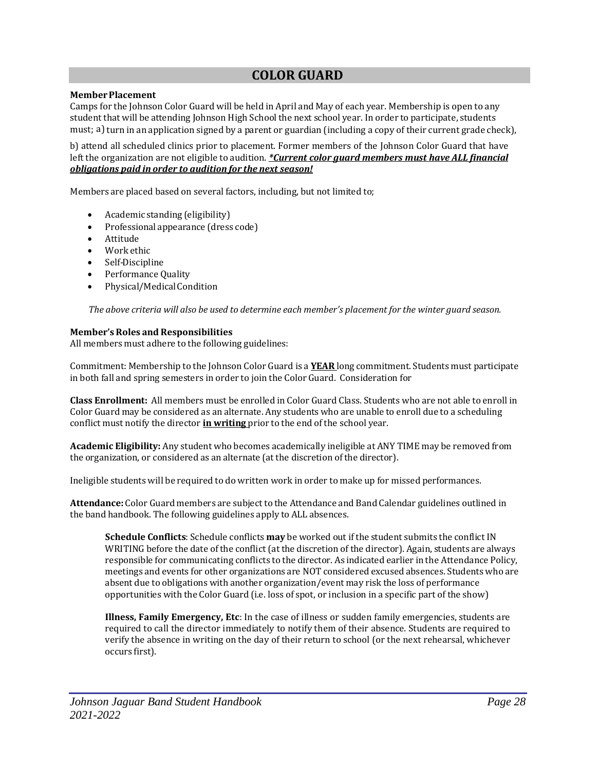# **COLOR GUARD**

#### **MemberPlacement**

Camps for the Johnson Color Guard will be held in April and May of each year. Membershipis open to any student that will be attending Johnson High School the next school year. In order toparticipate, students must; a) turn in an application signed by a parent or guardian (including a copy of their current grade check),

b) attend all scheduled clinics prior to placement. Former members of the Johnson Color Guard that have left the organization are not eligible to audition. *\*Current color guard members must have ALL financial obligations paid in order to audition for the next season!*

Members are placed based on several factors, including, but not limited to;

- Academic standing (eligibility)
- Professional appearance (dress code)
- Attitude
- Work ethic
- Self-Discipline
- Performance Quality
- Physical/Medical Condition

*The above criteria will also be used to determine each member's placement for the winter guard season.*

#### **Member's Roles and Responsibilities**

All members must adhere to the following guidelines:

Commitment: Membershipto the Johnson Color Guard is a **YEAR** long commitment. Students must participate in both fall and spring semesters in order to join the Color Guard. Consideration for

**Class Enrollment:** All members must be enrolled in Color Guard Class. Students who are not able to enroll in Color Guard may be considered as an alternate. Any students who are unable to enroll due to a scheduling conflict must notify the director **in writing** prior to the end of the school year.

**Academic Eligibility:** Any student who becomes academically ineligible at ANY TIME may be removed from the organization, or considered as an alternate (at the discretion of the director).

Ineligible students will be required to do written work in order to make up for missed performances.

**Attendance:** Color Guard members are subject to the Attendance and Band Calendar guidelines outlined in the band handbook. The following guidelines apply to ALL absences.

**Schedule Conflicts**: Schedule conflicts **may** be worked out if the student submits the conflict IN WRITING before the date of the conflict (at the discretion of the director). Again, students are always responsible for communicating conflicts to the director. As indicated earlier in the Attendance Policy, meetings and events for other organizations are NOT considered excused absences. Students who are absent due to obligations with another organization/event may risk the loss of performance opportunities with the Color Guard (i.e. loss of spot, or inclusion in a specific part of the show)

**Illness, Family Emergency, Etc**: In the case of illness or sudden family emergencies, students are required to call the director immediately to notify them of their absence. Students are required to verify the absence in writing on the day of their return to school (or the next rehearsal, whichever occurs first).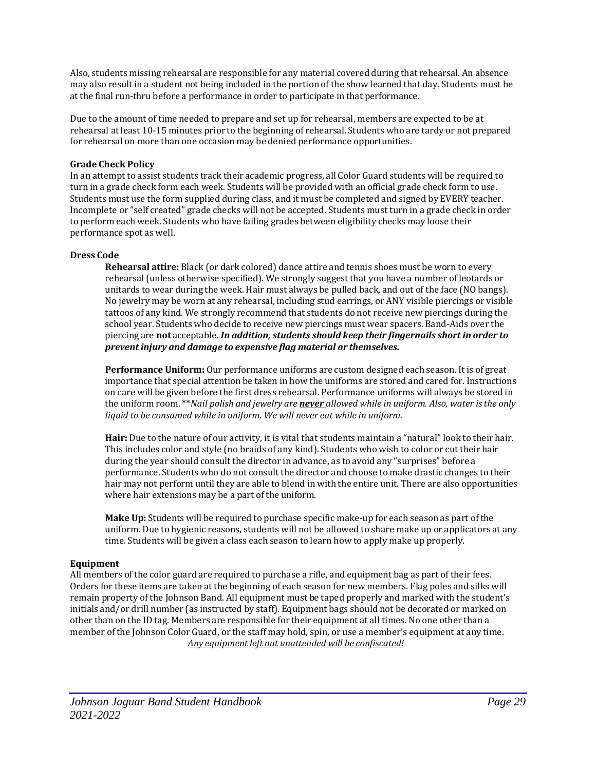Also, students missing rehearsal are responsible for any material covered during that rehearsal. An absence may also result in a student not being included in the portion of the show learned that day. Students must be at the final run-thru before a performance in order to participate in that performance.

Due to the amount of time needed to prepare and set up for rehearsal, members are expected to be at rehearsal at least 10-15 minutes prior to the beginning of rehearsal. Students who are tardy or not prepared for rehearsal on more than one occasion may be denied performance opportunities.

#### **Grade Check Policy**

In an attempt to assist students track their academic progress, all Color Guard students will be required to turn in a grade check form each week. Students will be provided with an official grade check form to use. Students must use the form supplied during class, and it must be completed and signed by EVERY teacher. Incomplete or "self created" grade checks will not be accepted. Students must turn in a grade check in order toperform each week. Students who have failing grades between eligibility checks may loose their performance spot as well.

#### **Dress Code**

**Rehearsal attire:** Black (or dark colored) dance attire and tennis shoes must be worn to every rehearsal (unless otherwise specified). We strongly suggest that you have a number of leotards or unitards to wear during the week. Hair must always be pulled back, and out of the face (NO bangs). No jewelry may be worn at any rehearsal, including stud earrings, or ANY visible piercings or visible tattoos of any kind. We strongly recommend that students do not receive new piercings during the school year. Students who decide to receive new piercings must wear spacers. Band-Aids over the piercing are **not** acceptable. *In addition, students should keep their fingernails short in order to prevent injury and damage to expensive flag material or themselves.*

**Performance Uniform:** Our performance uniforms are custom designed each season. It is of great importance that special attention be taken in how the uniforms are stored and cared for. Instructions on care will be given before the first dress rehearsal. Performance uniforms will always be stored in the uniform room. \*\**Nail polish and jewelry are never allowed while in uniform. Also, water isthe only liquid to be consumed while in uniform. We will never eat while in uniform.*

Hair: Due to the nature of our activity, it is vital that students maintain a "natural" look to their hair. This includes color and style (no braids of any kind). Students who wish to color or cut their hair during the year should consult the director in advance, as to avoid any "surprises" before a performance. Students who do not consult the director and choose to make drastic changes to their hair may not perform until they are able to blend in with the entire unit. There are also opportunities where hair extensions may be a part of the uniform.

**Make Up:** Students will be required to purchase specific make-up for each season as part of the uniform. Due to hygienic reasons, students will not be allowed to share make up or applicators at any time. Students will be given a class each season to learn how to apply make up properly.

# **Equipment**

All members of the color guard are required to purchase a rifle, and equipment bag as part of their fees. Orders for these items are taken at the beginning of each season for new members. Flag poles and silks will remain property of the Johnson Band. All equipment must be taped properly and marked with the student's initials and/or drill number (as instructed by staff). Equipment bags should not be decorated or marked on other than on the ID tag. Members are responsible for their equipment at all times. No one other than a member of the Johnson Color Guard, or the staff may hold, spin, or use a member's equipment at any time. *Any equipment left out unattended will be confiscated!*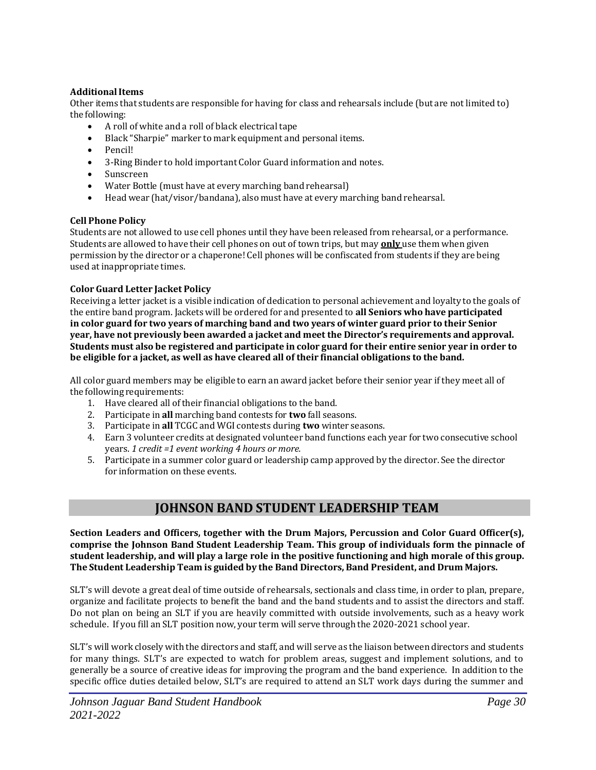# **AdditionalItems**

Other items that students are responsible for having for class and rehearsals include (but are not limited to) the following:

- A roll of white and a roll of black electrical tape
- Black "Sharpie" marker to mark equipment and personal items.
- Pencil!
- 3-Ring Binder to hold important Color Guard information and notes.
- Sunscreen
- Water Bottle (must have at every marching band rehearsal)
- Head wear (hat/visor/bandana), also must have at every marching band rehearsal.

# **Cell Phone Policy**

Students are not allowed to use cell phones until they have been released from rehearsal, or a performance. Students are allowed to have their cell phones on out of town trips, but may **only** use them when given permission by the director or a chaperone! Cell phones will be confiscated from students if they are being used at inappropriate times.

# **Color Guard Letter Jacket Policy**

Receiving a letter jacket is a visible indication of dedication topersonal achievement and loyalty to the goals of the entire bandprogram. Jackets will be ordered for andpresented to **all Seniors who have participated**  in color guard for two vears of marching band and two vears of winter guard prior to their Senior **year, have not previously been awarded a jacket and meet the Director's requirements and approval.** Students must also be registered and participate in color guard for their entire senior year in order to **be eligible for a jacket, as well as have cleared all of their financial obligations to the band.**

All color guard members may be eligible to earn an award jacket before their senior year if they meet all of the following requirements:

- 1. Have cleared all of their financial obligations to the band.
- 2. Participate in **all** marching band contests for **two** fall seasons.
- 3. Participate in **all** TCGC and WGI contests during **two** winter seasons.
- 4. Earn 3 volunteer credits at designated volunteer band functions each year for two consecutive school years. *1 credit =1 event working 4 hours or more.*
- 5. Participate in a summer color guard or leadership camp approved by the director. See the director for information on these events.

# **JOHNSON BAND STUDENT LEADERSHIP TEAM**

**Section Leaders and Officers, together with the Drum Majors, Percussion and Color Guard Officer(s), comprise the Johnson Band Student Leadership Team. This group of individuals form the pinnacle of student leadership, and will play a large role in the positive functioning and high morale of this group. The Student Leadership Team is guided by the Band Directors, Band President, and Drum Majors.**

SLT's will devote a great deal of time outside of rehearsals, sectionals and class time, in order to plan, prepare, organize and facilitate projects to benefit the band and the band students and to assist the directors and staff. Do not plan on being an SLT if you are heavily committed with outside involvements, such as a heavy work schedule. If you fill an SLT position now, your term will serve through the 2020-2021 school year.

SLT's will work closely with the directors and staff, and will serve as the liaison between directors and students for many things. SLT's are expected to watch for problem areas, suggest and implement solutions, and to generally be a source of creative ideas for improving the program and the band experience. In addition to the specific office duties detailed below, SLT's are required to attend an SLT work days during the summer and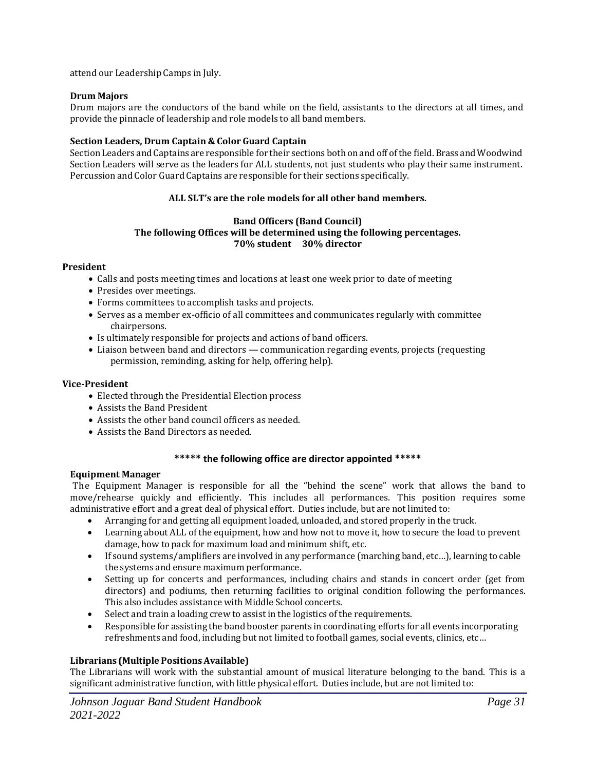attend our Leadership Camps in July.

## **Drum Majors**

Drum majors are the conductors of the band while on the field, assistants to the directors at all times, and provide the pinnacle of leadershipand role models to all band members.

#### **Section Leaders, Drum Captain & Color Guard Captain**

Section Leaders and Captains are responsible for their sections both on and off ofthe field. Brass andWoodwind Section Leaders will serve as the leaders for ALL students, not just students who play their same instrument. Percussion and Color Guard Captains are responsible for their sections specifically.

# **ALL SLT's are the role models for all other band members.**

#### **Band Officers (Band Council) The following Offices will be determined using the following percentages. 70% student 30% director**

#### **President**

- Calls and posts meeting times and locations at least one week prior to date of meeting
- Presides over meetings.
- Forms committees to accomplish tasks and projects.
- Serves as a member ex-officio of all committees and communicates regularly with committee chairpersons.
- Is ultimately responsible for projects and actions of band officers.
- Liaison between band and directors communication regarding events, projects (requesting permission, reminding, asking for help, offering help).

#### **Vice-President**

- Elected through the Presidential Election process
- Assists the Band President
- Assists the other band council officers as needed.
- Assists the Band Directors as needed.

# **\*\*\*\*\* the following office are director appointed \*\*\*\*\***

#### **Equipment Manager**

The Equipment Manager is responsible for all the "behind the scene" work that allows the band to move/rehearse quickly and efficiently. This includes all performances. This position requires some administrative effort and a great deal of physical effort. Duties include, but are not limited to:

- Arranging for and getting all equipment loaded, unloaded, and stored properly in the truck.
- Learning about ALL of the equipment, how and how not to move it, how to secure the load to prevent damage, how to pack for maximum load and minimum shift, etc.
- If sound systems/amplifiers are involved in any performance (marching band, etc...), learning to cable the systems and ensure maximum performance.
- Setting up for concerts and performances, including chairs and stands in concert order (get from directors) and podiums, then returning facilities to original condition following the performances. This also includes assistance with Middle School concerts.
- Select and train a loading crew to assist in the logistics of the requirements.
- Responsible for assisting the band booster parents in coordinating efforts for all events incorporating refreshments and food, including but not limited to football games, social events, clinics, etc...

# **Librarians (MultiplePositionsAvailable)**

The Librarians will work with the substantial amount of musical literature belonging to the band. This is a significant administrative function, with little physical effort. Duties include, but are not limited to: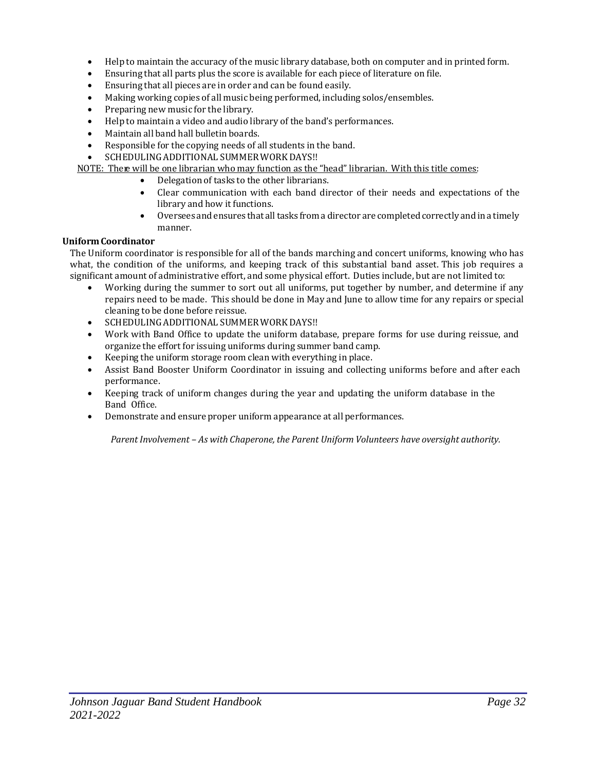- Helpto maintain the accuracy of the music library database, both on computer and in printed form.
- Ensuring that all parts plus the score is available for each piece of literature on file.
- Ensuring that all pieces are in order and can be found easily.
- Making working copies of all music being performed, including solos/ensembles.
- Preparing new music for the library.
- Helpto maintain a video and audio library of the band's performances.
- Maintain all band hall bulletin boards.
- Responsible for the copying needs of all students in the band.

SCHEDULING ADDITIONAL SUMMER WORK DAYS !!

NOTE: There will be one librarian who may function as the "head" librarian. With this title comes:

- Delegation of tasks to the other librarians.
- Clear communication with each band director of their needs and expectations of the library and how it functions.
- Oversees and ensures that all tasks from a director are completed correctly and in a timely manner.

# **UniformCoordinator**

The Uniform coordinator is responsible for all of the bands marching and concert uniforms, knowing who has what, the condition of the uniforms, and keeping track of this substantial band asset. This job requires a significant amount of administrative effort, and some physical effort. Duties include, but are not limited to:

- Working during the summer to sort out all uniforms, put together by number, and determine if any repairs need to be made. This should be done in May and June to allow time for any repairs or special cleaning to be done before reissue.
- SCHEDULING ADDITIONAL SUMMER WORK DAYS !!
- Work with Band Office to update the uniform database, prepare forms for use during reissue, and organize the effort for issuing uniforms during summer band camp.
- Keeping the uniform storage room clean with everything in place.
- Assist Band Booster Uniform Coordinator in issuing and collecting uniforms before and after each performance.
- Keeping track of uniform changes during the year and updating the uniform database in the Band Office.
- Demonstrate and ensure proper uniform appearance at all performances.

*Parent Involvement – As with Chaperone, the Parent Uniform Volunteers have oversight authority.*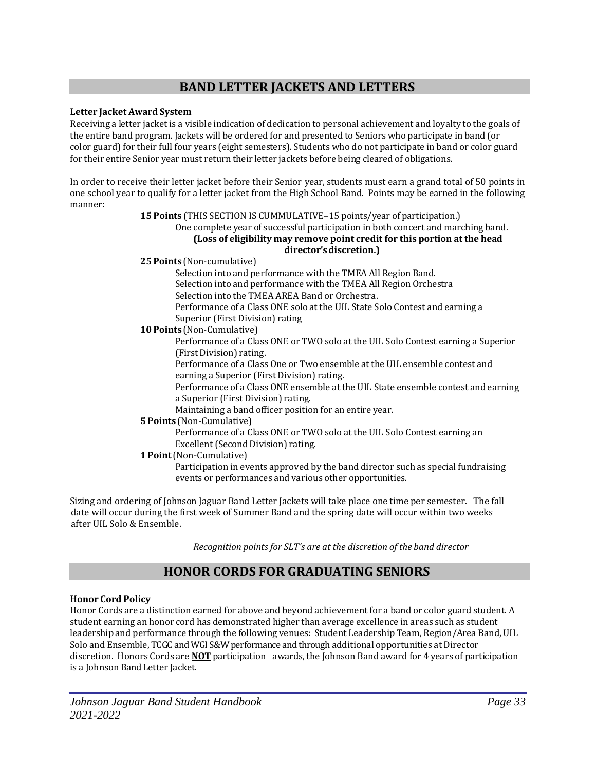# **BAND LETTER JACKETS AND LETTERS**

# **Letter Jacket Award System**

Receiving a letter jacket is a visible indication of dedication topersonal achievement and loyalty to the goals of the entire band program. Jackets will be ordered for and presented to Seniors who participate in band (or color guard) for their full four years (eight semesters). Students who do not participate in band or color guard for their entire Senior year must return their letter jackets before being cleared of obligations.

In order to receive their letter jacket before their Senior year, students must earn a grand total of 50 points in one school year to qualify for a letter jacket from the High School Band. Points may be earned in the following manner:

#### **15 Points** (THIS SECTION IS CUMMULATIVE-15 points/year of participation.)

#### One complete year of successful participation in both concert and marching band. **(Loss of eligibility may remove point credit for this portion at the head director'sdiscretion.)**

#### **25 Points** (Non-cumulative)

Selection into and performance with the TMEA All Region Band. Selection into and performance with the TMEA All Region Orchestra Selection into the TMEA AREA Band or Orchestra.

Performance of a Class ONE solo at the UIL State Solo Contest and earning a Superior (First Division) rating

# **10 Points** (Non-Cumulative)

Performance of a Class ONE or TWO solo at the UIL Solo Contest earning a Superior (First Division) rating.

Performance of a Class One or Two ensemble at the UIL ensemble contest and earning a Superior (First Division) rating.

Performance of a Class ONE ensemble at the UIL State ensemble contest and earning a Superior (First Division) rating.

Maintaining a band officer position for an entire year.

# **5 Points** (Non-Cumulative)

Performance of a Class ONE or TWO solo at the UIL Solo Contest earning an Excellent (Second Division) rating.

# **1 Point**(Non-Cumulative)

Participation in events approved by the band director such as special fundraising events or performances and various other opportunities.

Sizing and ordering of Johnson Jaguar Band Letter Jackets will take place one time per semester. The fall date will occur during the first week of Summer Band and the spring date will occur within two weeks after UIL Solo & Ensemble.

*Recognition points for SLT's are at the discretion of the band director*

# **HONOR CORDS FOR GRADUATING SENIORS**

# **Honor Cord Policy**

Honor Cords are a distinction earned for above and beyond achievement for a band or color guard student. A student earning an honor cord has demonstrated higher than average excellence in areas such as student leadership and performance through the following venues: Student Leadership Team, Region/Area Band, UIL Solo and Ensemble, TCGC and WGI S&W performance and through additional opportunities at Director discretion. Honors Cords are **NOT** participation awards, the Johnson Band award for 4 years ofparticipation is a Johnson Band Letter Jacket.